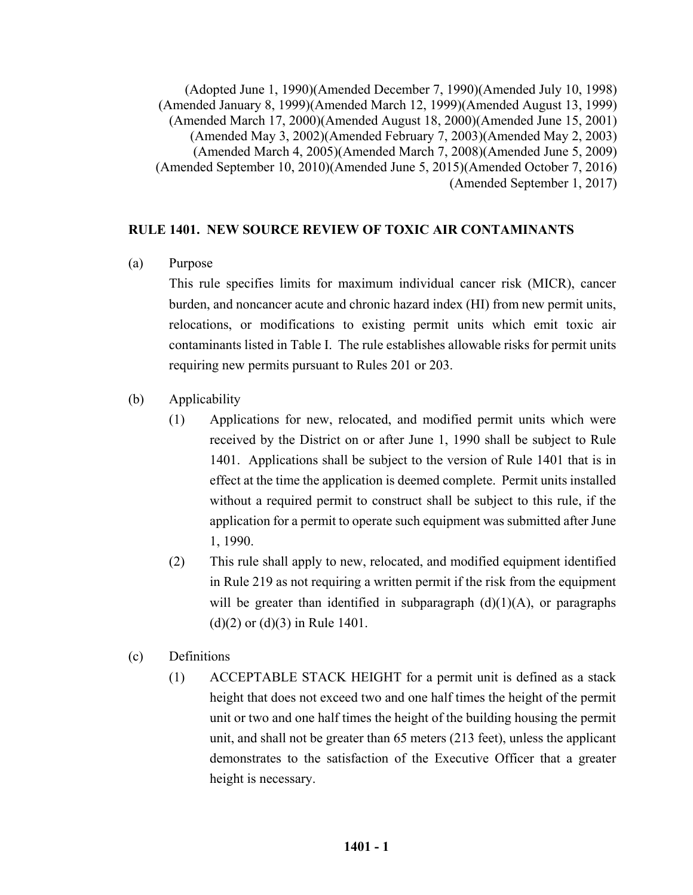(Adopted June 1, 1990)(Amended December 7, 1990)(Amended July 10, 1998) (Amended January 8, 1999)(Amended March 12, 1999)(Amended August 13, 1999) (Amended March 17, 2000)(Amended August 18, 2000)(Amended June 15, 2001) (Amended May 3, 2002)(Amended February 7, 2003)(Amended May 2, 2003) (Amended March 4, 2005)(Amended March 7, 2008)(Amended June 5, 2009) (Amended September 10, 2010)(Amended June 5, 2015)(Amended October 7, 2016) (Amended September 1, 2017)

## **RULE 1401. NEW SOURCE REVIEW OF TOXIC AIR CONTAMINANTS**

(a) Purpose

 This rule specifies limits for maximum individual cancer risk (MICR), cancer burden, and noncancer acute and chronic hazard index (HI) from new permit units, relocations, or modifications to existing permit units which emit toxic air contaminants listed in Table I. The rule establishes allowable risks for permit units requiring new permits pursuant to Rules 201 or 203.

- (b) Applicability
	- (1) Applications for new, relocated, and modified permit units which were received by the District on or after June 1, 1990 shall be subject to Rule 1401. Applications shall be subject to the version of Rule 1401 that is in effect at the time the application is deemed complete. Permit units installed without a required permit to construct shall be subject to this rule, if the application for a permit to operate such equipment was submitted after June 1, 1990.
	- (2) This rule shall apply to new, relocated, and modified equipment identified in Rule 219 as not requiring a written permit if the risk from the equipment will be greater than identified in subparagraph  $(d)(1)(A)$ , or paragraphs (d)(2) or (d)(3) in Rule 1401.
- (c) Definitions
	- (1) ACCEPTABLE STACK HEIGHT for a permit unit is defined as a stack height that does not exceed two and one half times the height of the permit unit or two and one half times the height of the building housing the permit unit, and shall not be greater than 65 meters (213 feet), unless the applicant demonstrates to the satisfaction of the Executive Officer that a greater height is necessary.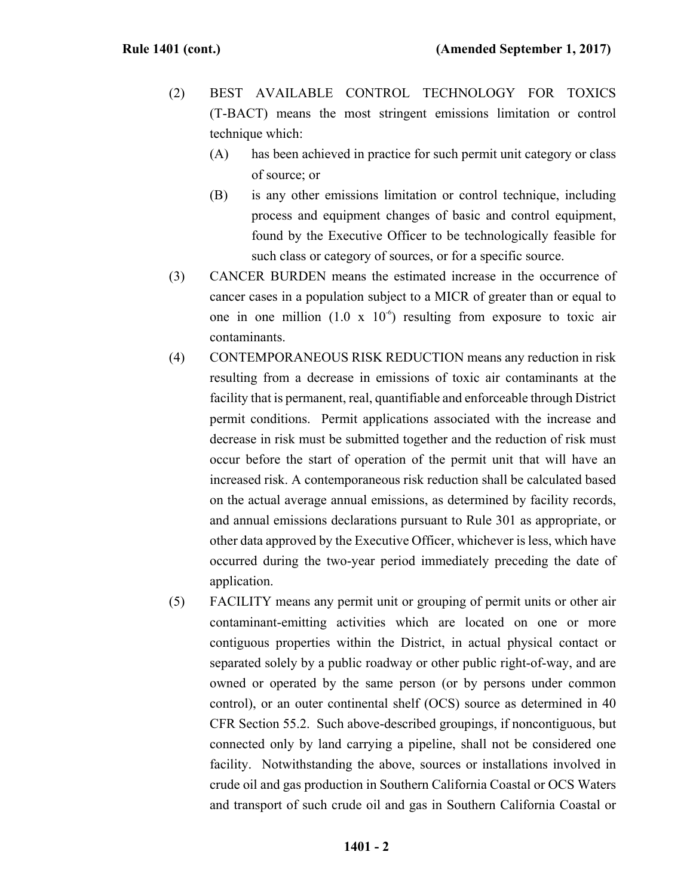- (2) BEST AVAILABLE CONTROL TECHNOLOGY FOR TOXICS (T-BACT) means the most stringent emissions limitation or control technique which:
	- (A) has been achieved in practice for such permit unit category or class of source; or
	- (B) is any other emissions limitation or control technique, including process and equipment changes of basic and control equipment, found by the Executive Officer to be technologically feasible for such class or category of sources, or for a specific source.
- (3) CANCER BURDEN means the estimated increase in the occurrence of cancer cases in a population subject to a MICR of greater than or equal to one in one million (1.0 x  $10^{-6}$ ) resulting from exposure to toxic air contaminants.
- (4) CONTEMPORANEOUS RISK REDUCTION means any reduction in risk resulting from a decrease in emissions of toxic air contaminants at the facility that is permanent, real, quantifiable and enforceable through District permit conditions. Permit applications associated with the increase and decrease in risk must be submitted together and the reduction of risk must occur before the start of operation of the permit unit that will have an increased risk. A contemporaneous risk reduction shall be calculated based on the actual average annual emissions, as determined by facility records, and annual emissions declarations pursuant to Rule 301 as appropriate, or other data approved by the Executive Officer, whichever is less, which have occurred during the two-year period immediately preceding the date of application.
- (5) FACILITY means any permit unit or grouping of permit units or other air contaminant-emitting activities which are located on one or more contiguous properties within the District, in actual physical contact or separated solely by a public roadway or other public right-of-way, and are owned or operated by the same person (or by persons under common control), or an outer continental shelf (OCS) source as determined in 40 CFR Section 55.2. Such above-described groupings, if noncontiguous, but connected only by land carrying a pipeline, shall not be considered one facility. Notwithstanding the above, sources or installations involved in crude oil and gas production in Southern California Coastal or OCS Waters and transport of such crude oil and gas in Southern California Coastal or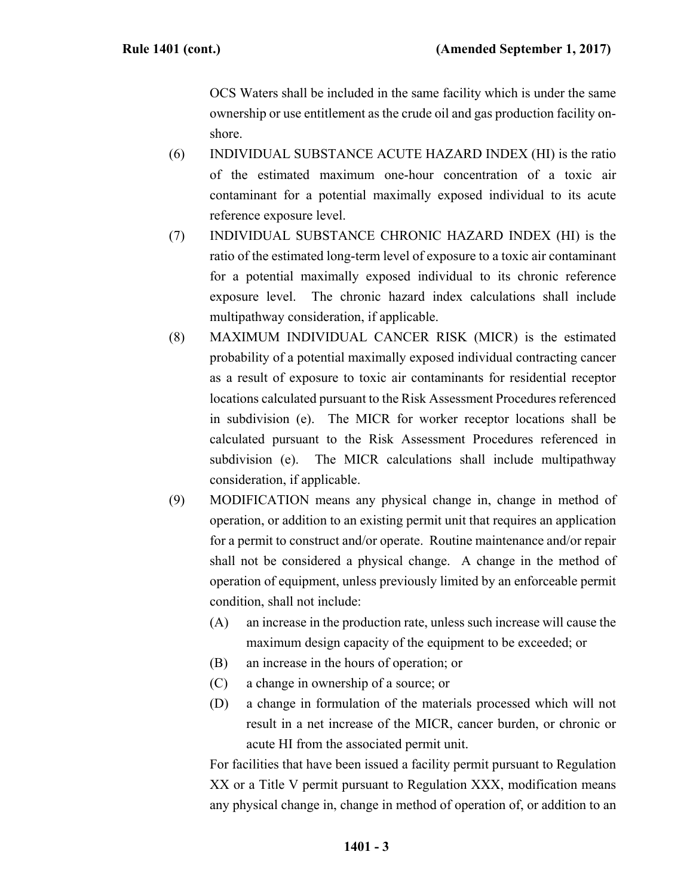OCS Waters shall be included in the same facility which is under the same ownership or use entitlement as the crude oil and gas production facility onshore.

- (6) INDIVIDUAL SUBSTANCE ACUTE HAZARD INDEX (HI) is the ratio of the estimated maximum one-hour concentration of a toxic air contaminant for a potential maximally exposed individual to its acute reference exposure level.
- (7) INDIVIDUAL SUBSTANCE CHRONIC HAZARD INDEX (HI) is the ratio of the estimated long-term level of exposure to a toxic air contaminant for a potential maximally exposed individual to its chronic reference exposure level. The chronic hazard index calculations shall include multipathway consideration, if applicable.
- (8) MAXIMUM INDIVIDUAL CANCER RISK (MICR) is the estimated probability of a potential maximally exposed individual contracting cancer as a result of exposure to toxic air contaminants for residential receptor locations calculated pursuant to the Risk Assessment Procedures referenced in subdivision (e). The MICR for worker receptor locations shall be calculated pursuant to the Risk Assessment Procedures referenced in subdivision (e). The MICR calculations shall include multipathway consideration, if applicable.
- (9) MODIFICATION means any physical change in, change in method of operation, or addition to an existing permit unit that requires an application for a permit to construct and/or operate. Routine maintenance and/or repair shall not be considered a physical change. A change in the method of operation of equipment, unless previously limited by an enforceable permit condition, shall not include:
	- (A) an increase in the production rate, unless such increase will cause the maximum design capacity of the equipment to be exceeded; or
	- (B) an increase in the hours of operation; or
	- (C) a change in ownership of a source; or
	- (D) a change in formulation of the materials processed which will not result in a net increase of the MICR, cancer burden, or chronic or acute HI from the associated permit unit.

 For facilities that have been issued a facility permit pursuant to Regulation XX or a Title V permit pursuant to Regulation XXX, modification means any physical change in, change in method of operation of, or addition to an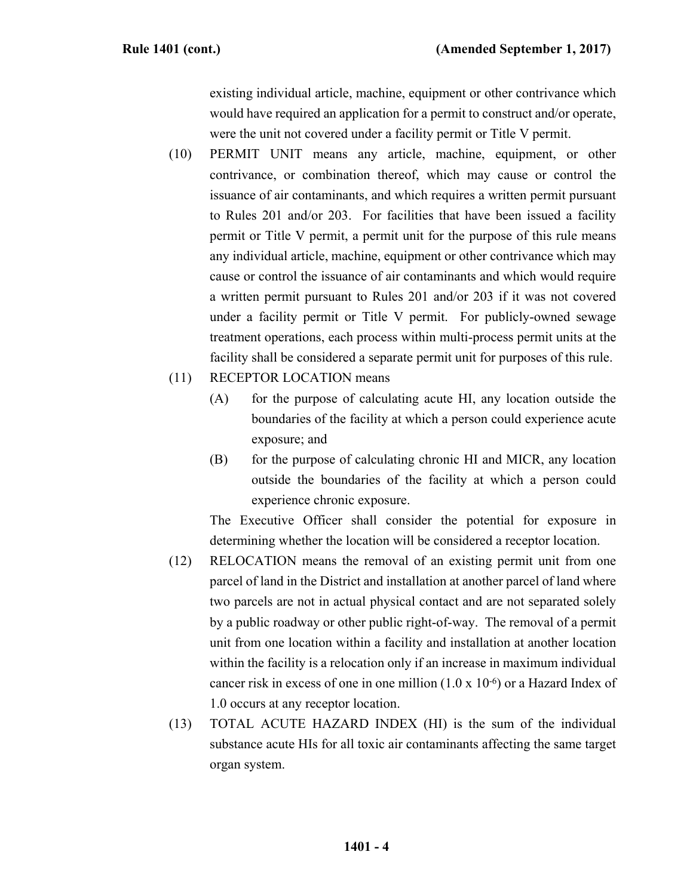existing individual article, machine, equipment or other contrivance which would have required an application for a permit to construct and/or operate, were the unit not covered under a facility permit or Title V permit.

- (10) PERMIT UNIT means any article, machine, equipment, or other contrivance, or combination thereof, which may cause or control the issuance of air contaminants, and which requires a written permit pursuant to Rules 201 and/or 203. For facilities that have been issued a facility permit or Title V permit, a permit unit for the purpose of this rule means any individual article, machine, equipment or other contrivance which may cause or control the issuance of air contaminants and which would require a written permit pursuant to Rules 201 and/or 203 if it was not covered under a facility permit or Title V permit. For publicly-owned sewage treatment operations, each process within multi-process permit units at the facility shall be considered a separate permit unit for purposes of this rule.
- (11) RECEPTOR LOCATION means
	- (A) for the purpose of calculating acute HI, any location outside the boundaries of the facility at which a person could experience acute exposure; and
	- (B) for the purpose of calculating chronic HI and MICR, any location outside the boundaries of the facility at which a person could experience chronic exposure.

 The Executive Officer shall consider the potential for exposure in determining whether the location will be considered a receptor location.

- (12) RELOCATION means the removal of an existing permit unit from one parcel of land in the District and installation at another parcel of land where two parcels are not in actual physical contact and are not separated solely by a public roadway or other public right-of-way. The removal of a permit unit from one location within a facility and installation at another location within the facility is a relocation only if an increase in maximum individual cancer risk in excess of one in one million  $(1.0 \times 10^{-6})$  or a Hazard Index of 1.0 occurs at any receptor location.
- (13) TOTAL ACUTE HAZARD INDEX (HI) is the sum of the individual substance acute HIs for all toxic air contaminants affecting the same target organ system.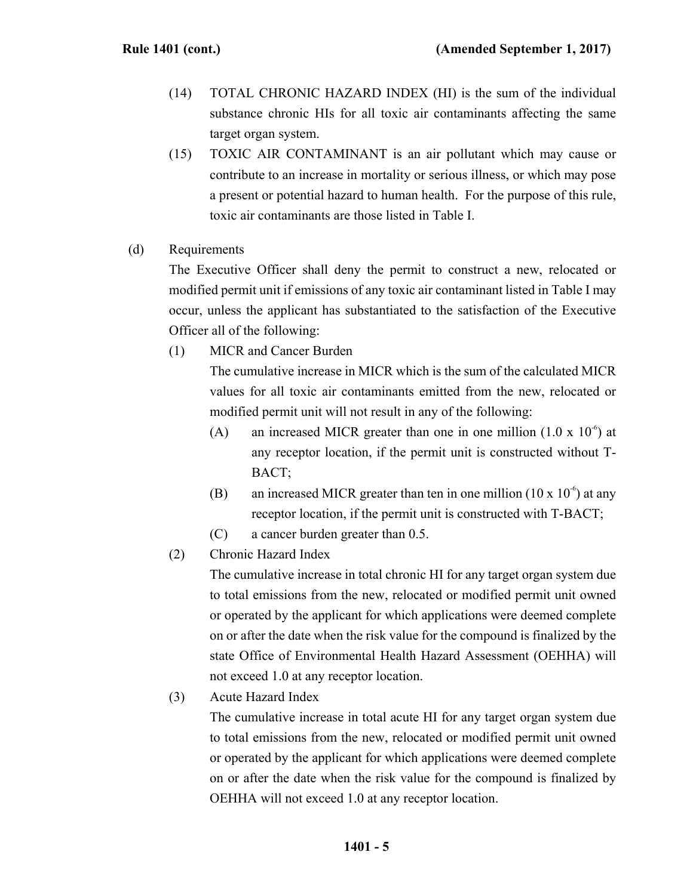- (14) TOTAL CHRONIC HAZARD INDEX (HI) is the sum of the individual substance chronic HIs for all toxic air contaminants affecting the same target organ system.
- (15) TOXIC AIR CONTAMINANT is an air pollutant which may cause or contribute to an increase in mortality or serious illness, or which may pose a present or potential hazard to human health. For the purpose of this rule, toxic air contaminants are those listed in Table I.
- (d) Requirements

 The Executive Officer shall deny the permit to construct a new, relocated or modified permit unit if emissions of any toxic air contaminant listed in Table I may occur, unless the applicant has substantiated to the satisfaction of the Executive Officer all of the following:

(1) MICR and Cancer Burden

 The cumulative increase in MICR which is the sum of the calculated MICR values for all toxic air contaminants emitted from the new, relocated or modified permit unit will not result in any of the following:

- (A) an increased MICR greater than one in one million  $(1.0 \times 10^{-6})$  at any receptor location, if the permit unit is constructed without T-BACT;
- (B) an increased MICR greater than ten in one million  $(10 \times 10^{-6})$  at any receptor location, if the permit unit is constructed with T-BACT;
- (C) a cancer burden greater than 0.5.
- (2) Chronic Hazard Index

 The cumulative increase in total chronic HI for any target organ system due to total emissions from the new, relocated or modified permit unit owned or operated by the applicant for which applications were deemed complete on or after the date when the risk value for the compound is finalized by the state Office of Environmental Health Hazard Assessment (OEHHA) will not exceed 1.0 at any receptor location.

(3) Acute Hazard Index

 The cumulative increase in total acute HI for any target organ system due to total emissions from the new, relocated or modified permit unit owned or operated by the applicant for which applications were deemed complete on or after the date when the risk value for the compound is finalized by OEHHA will not exceed 1.0 at any receptor location.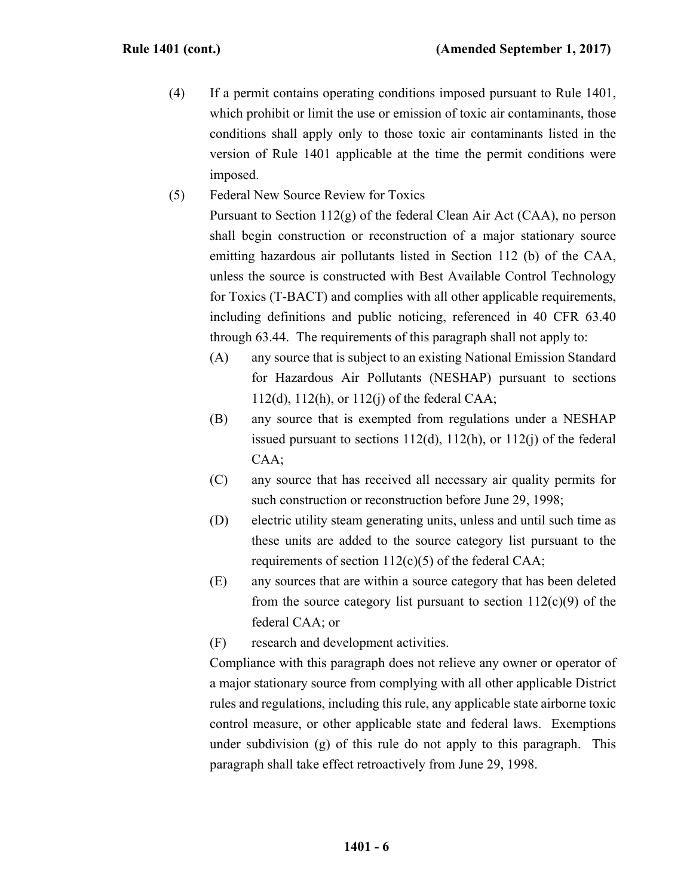- (4) If a permit contains operating conditions imposed pursuant to Rule 1401, which prohibit or limit the use or emission of toxic air contaminants, those conditions shall apply only to those toxic air contaminants listed in the version of Rule 1401 applicable at the time the permit conditions were imposed.
- (5) Federal New Source Review for Toxics

 Pursuant to Section 112(g) of the federal Clean Air Act (CAA), no person shall begin construction or reconstruction of a major stationary source emitting hazardous air pollutants listed in Section 112 (b) of the CAA, unless the source is constructed with Best Available Control Technology for Toxics (T-BACT) and complies with all other applicable requirements, including definitions and public noticing, referenced in 40 CFR 63.40 through 63.44. The requirements of this paragraph shall not apply to:

- (A) any source that is subject to an existing National Emission Standard for Hazardous Air Pollutants (NESHAP) pursuant to sections 112(d), 112(h), or 112(j) of the federal CAA;
- (B) any source that is exempted from regulations under a NESHAP issued pursuant to sections  $112(d)$ ,  $112(h)$ , or  $112(i)$  of the federal CAA;
- (C) any source that has received all necessary air quality permits for such construction or reconstruction before June 29, 1998;
- (D) electric utility steam generating units, unless and until such time as these units are added to the source category list pursuant to the requirements of section  $112(c)(5)$  of the federal CAA;
- (E) any sources that are within a source category that has been deleted from the source category list pursuant to section  $112(c)(9)$  of the federal CAA; or

(F) research and development activities.

 Compliance with this paragraph does not relieve any owner or operator of a major stationary source from complying with all other applicable District rules and regulations, including this rule, any applicable state airborne toxic control measure, or other applicable state and federal laws. Exemptions under subdivision (g) of this rule do not apply to this paragraph. This paragraph shall take effect retroactively from June 29, 1998.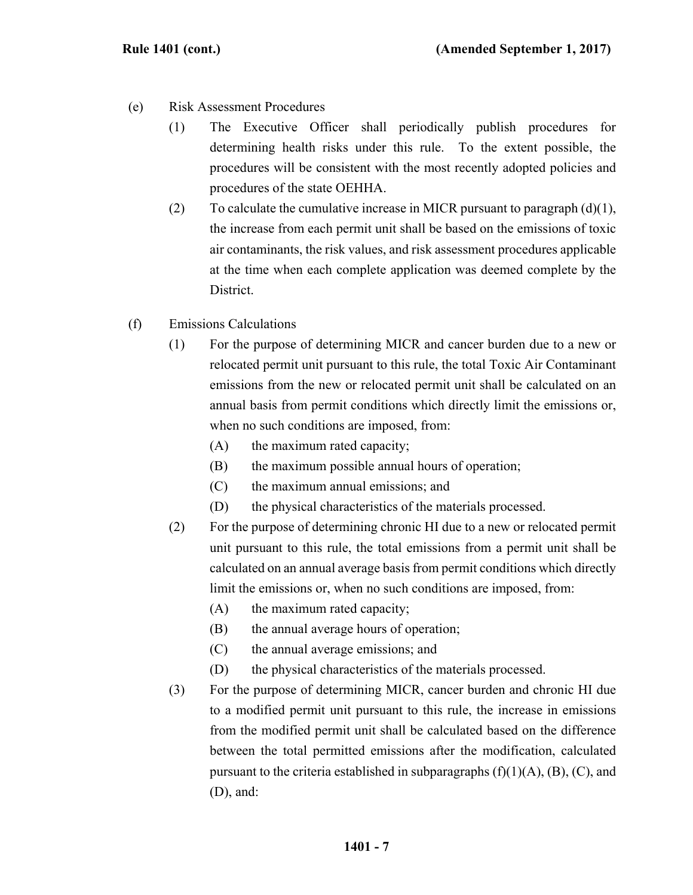- (e) Risk Assessment Procedures
	- (1) The Executive Officer shall periodically publish procedures for determining health risks under this rule. To the extent possible, the procedures will be consistent with the most recently adopted policies and procedures of the state OEHHA.
	- (2) To calculate the cumulative increase in MICR pursuant to paragraph  $(d)(1)$ , the increase from each permit unit shall be based on the emissions of toxic air contaminants, the risk values, and risk assessment procedures applicable at the time when each complete application was deemed complete by the District.
- (f) Emissions Calculations
	- (1) For the purpose of determining MICR and cancer burden due to a new or relocated permit unit pursuant to this rule, the total Toxic Air Contaminant emissions from the new or relocated permit unit shall be calculated on an annual basis from permit conditions which directly limit the emissions or, when no such conditions are imposed, from:
		- (A) the maximum rated capacity;
		- (B) the maximum possible annual hours of operation;
		- (C) the maximum annual emissions; and
		- (D) the physical characteristics of the materials processed.
	- (2) For the purpose of determining chronic HI due to a new or relocated permit unit pursuant to this rule, the total emissions from a permit unit shall be calculated on an annual average basis from permit conditions which directly limit the emissions or, when no such conditions are imposed, from:
		- (A) the maximum rated capacity;
		- (B) the annual average hours of operation;
		- (C) the annual average emissions; and
		- (D) the physical characteristics of the materials processed.
	- (3) For the purpose of determining MICR, cancer burden and chronic HI due to a modified permit unit pursuant to this rule, the increase in emissions from the modified permit unit shall be calculated based on the difference between the total permitted emissions after the modification, calculated pursuant to the criteria established in subparagraphs  $(f)(1)(A)$ ,  $(B)$ ,  $(C)$ , and (D), and: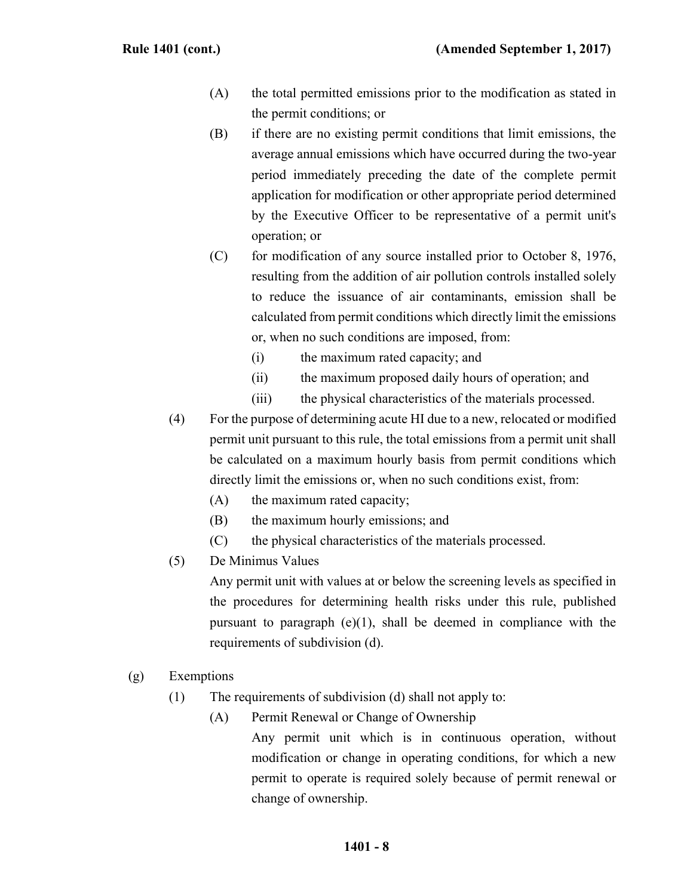- (A) the total permitted emissions prior to the modification as stated in the permit conditions; or
- (B) if there are no existing permit conditions that limit emissions, the average annual emissions which have occurred during the two-year period immediately preceding the date of the complete permit application for modification or other appropriate period determined by the Executive Officer to be representative of a permit unit's operation; or
- $(C)$  for modification of any source installed prior to October 8, 1976, resulting from the addition of air pollution controls installed solely to reduce the issuance of air contaminants, emission shall be calculated from permit conditions which directly limit the emissions or, when no such conditions are imposed, from:
	- (i) the maximum rated capacity; and
	- (ii) the maximum proposed daily hours of operation; and
	- (iii) the physical characteristics of the materials processed.
- (4) For the purpose of determining acute HI due to a new, relocated or modified permit unit pursuant to this rule, the total emissions from a permit unit shall be calculated on a maximum hourly basis from permit conditions which directly limit the emissions or, when no such conditions exist, from:
	- (A) the maximum rated capacity;
	- (B) the maximum hourly emissions; and
	- (C) the physical characteristics of the materials processed.
- (5) De Minimus Values

 Any permit unit with values at or below the screening levels as specified in the procedures for determining health risks under this rule, published pursuant to paragraph  $(e)(1)$ , shall be deemed in compliance with the requirements of subdivision (d).

- (g) Exemptions
	- (1) The requirements of subdivision (d) shall not apply to:
		- (A) Permit Renewal or Change of Ownership Any permit unit which is in continuous operation, without modification or change in operating conditions, for which a new permit to operate is required solely because of permit renewal or change of ownership.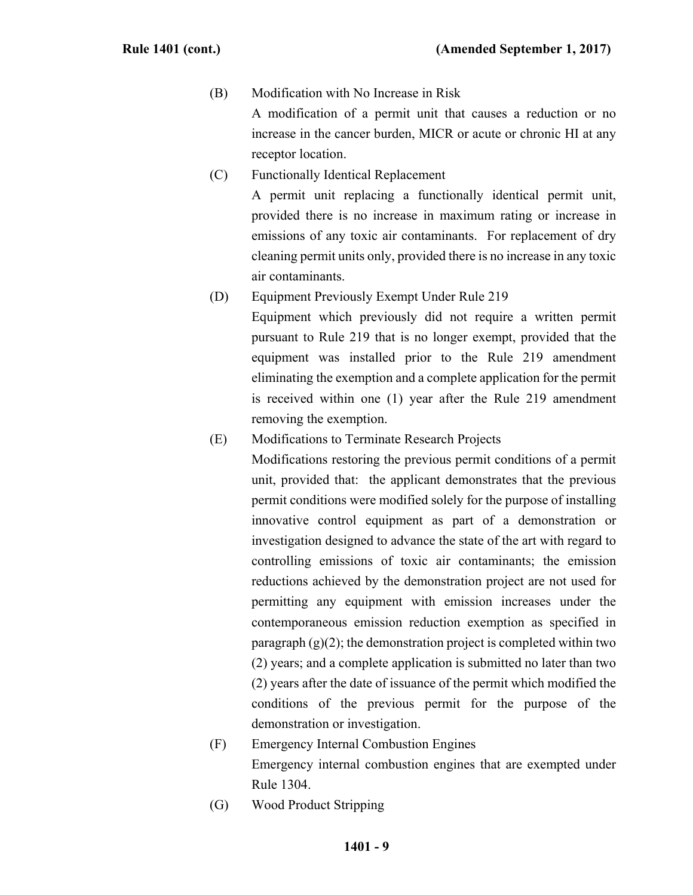## (B) Modification with No Increase in Risk

 A modification of a permit unit that causes a reduction or no increase in the cancer burden, MICR or acute or chronic HI at any receptor location.

- (C) Functionally Identical Replacement A permit unit replacing a functionally identical permit unit, provided there is no increase in maximum rating or increase in emissions of any toxic air contaminants. For replacement of dry cleaning permit units only, provided there is no increase in any toxic air contaminants.
- (D) Equipment Previously Exempt Under Rule 219

 Equipment which previously did not require a written permit pursuant to Rule 219 that is no longer exempt, provided that the equipment was installed prior to the Rule 219 amendment eliminating the exemption and a complete application for the permit is received within one (1) year after the Rule 219 amendment removing the exemption.

(E) Modifications to Terminate Research Projects

 Modifications restoring the previous permit conditions of a permit unit, provided that: the applicant demonstrates that the previous permit conditions were modified solely for the purpose of installing innovative control equipment as part of a demonstration or investigation designed to advance the state of the art with regard to controlling emissions of toxic air contaminants; the emission reductions achieved by the demonstration project are not used for permitting any equipment with emission increases under the contemporaneous emission reduction exemption as specified in paragraph  $(g)(2)$ ; the demonstration project is completed within two (2) years; and a complete application is submitted no later than two (2) years after the date of issuance of the permit which modified the conditions of the previous permit for the purpose of the demonstration or investigation.

- (F) Emergency Internal Combustion Engines Emergency internal combustion engines that are exempted under Rule 1304.
- (G) Wood Product Stripping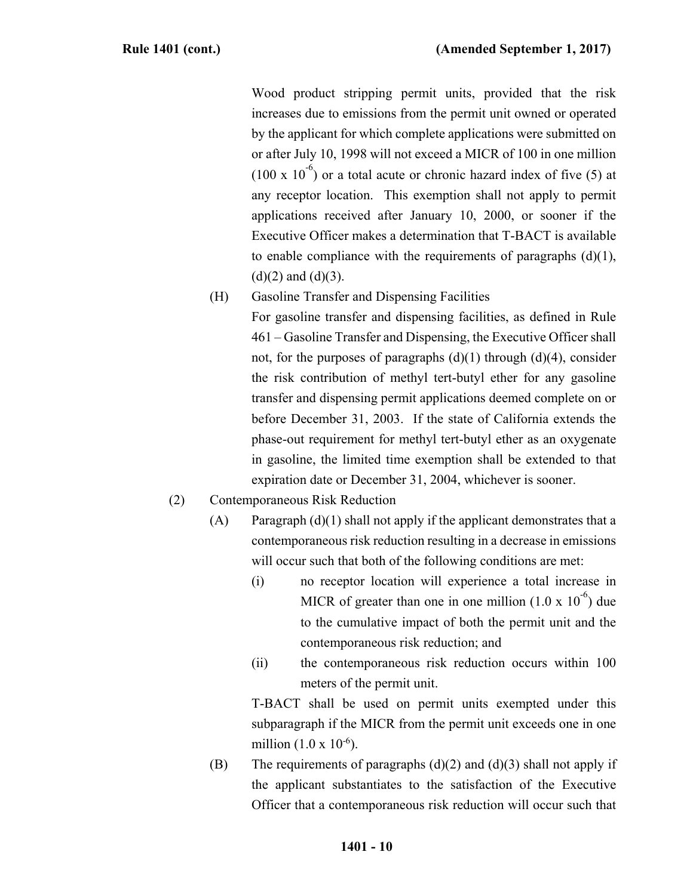Wood product stripping permit units, provided that the risk increases due to emissions from the permit unit owned or operated by the applicant for which complete applications were submitted on or after July 10, 1998 will not exceed a MICR of 100 in one million  $(100 \times 10^{-6})$  or a total acute or chronic hazard index of five (5) at any receptor location. This exemption shall not apply to permit applications received after January 10, 2000, or sooner if the Executive Officer makes a determination that T-BACT is available to enable compliance with the requirements of paragraphs  $(d)(1)$ ,  $(d)(2)$  and  $(d)(3)$ .

(H) Gasoline Transfer and Dispensing Facilities

 For gasoline transfer and dispensing facilities, as defined in Rule 461 – Gasoline Transfer and Dispensing, the Executive Officer shall not, for the purposes of paragraphs  $(d)(1)$  through  $(d)(4)$ , consider the risk contribution of methyl tert-butyl ether for any gasoline transfer and dispensing permit applications deemed complete on or before December 31, 2003. If the state of California extends the phase-out requirement for methyl tert-butyl ether as an oxygenate in gasoline, the limited time exemption shall be extended to that expiration date or December 31, 2004, whichever is sooner.

- (2) Contemporaneous Risk Reduction
	- $(A)$  Paragraph  $(d)(1)$  shall not apply if the applicant demonstrates that a contemporaneous risk reduction resulting in a decrease in emissions will occur such that both of the following conditions are met:
		- (i) no receptor location will experience a total increase in MICR of greater than one in one million  $(1.0 \times 10^{-6})$  due to the cumulative impact of both the permit unit and the contemporaneous risk reduction; and
		- (ii) the contemporaneous risk reduction occurs within 100 meters of the permit unit.

 T-BACT shall be used on permit units exempted under this subparagraph if the MICR from the permit unit exceeds one in one million  $(1.0 \times 10^{-6})$ .

(B) The requirements of paragraphs  $(d)(2)$  and  $(d)(3)$  shall not apply if the applicant substantiates to the satisfaction of the Executive Officer that a contemporaneous risk reduction will occur such that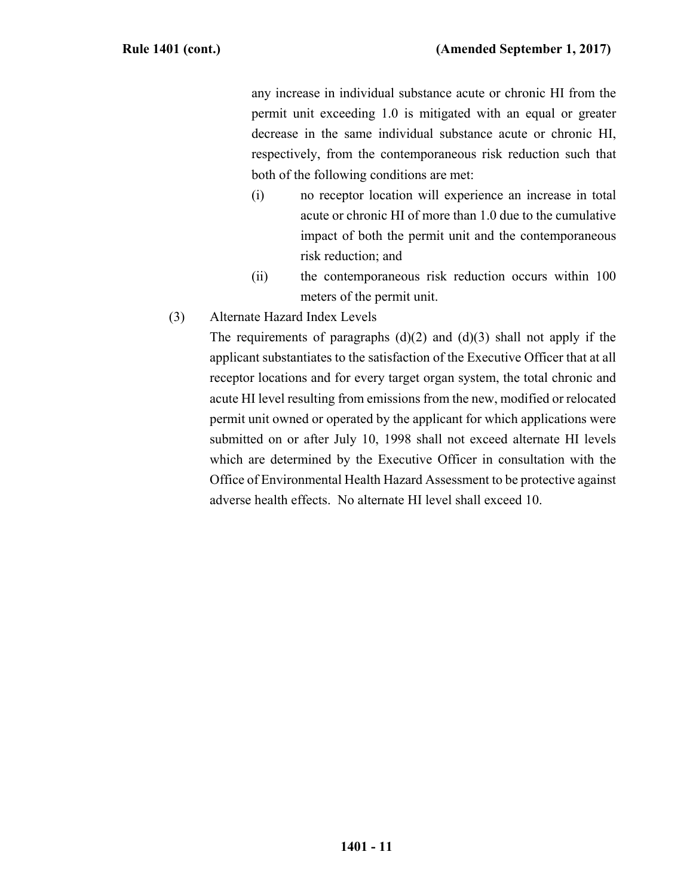any increase in individual substance acute or chronic HI from the permit unit exceeding 1.0 is mitigated with an equal or greater decrease in the same individual substance acute or chronic HI, respectively, from the contemporaneous risk reduction such that both of the following conditions are met:

- (i) no receptor location will experience an increase in total acute or chronic HI of more than 1.0 due to the cumulative impact of both the permit unit and the contemporaneous risk reduction; and
- (ii) the contemporaneous risk reduction occurs within 100 meters of the permit unit.
- (3) Alternate Hazard Index Levels

The requirements of paragraphs  $(d)(2)$  and  $(d)(3)$  shall not apply if the applicant substantiates to the satisfaction of the Executive Officer that at all receptor locations and for every target organ system, the total chronic and acute HI level resulting from emissions from the new, modified or relocated permit unit owned or operated by the applicant for which applications were submitted on or after July 10, 1998 shall not exceed alternate HI levels which are determined by the Executive Officer in consultation with the Office of Environmental Health Hazard Assessment to be protective against adverse health effects. No alternate HI level shall exceed 10.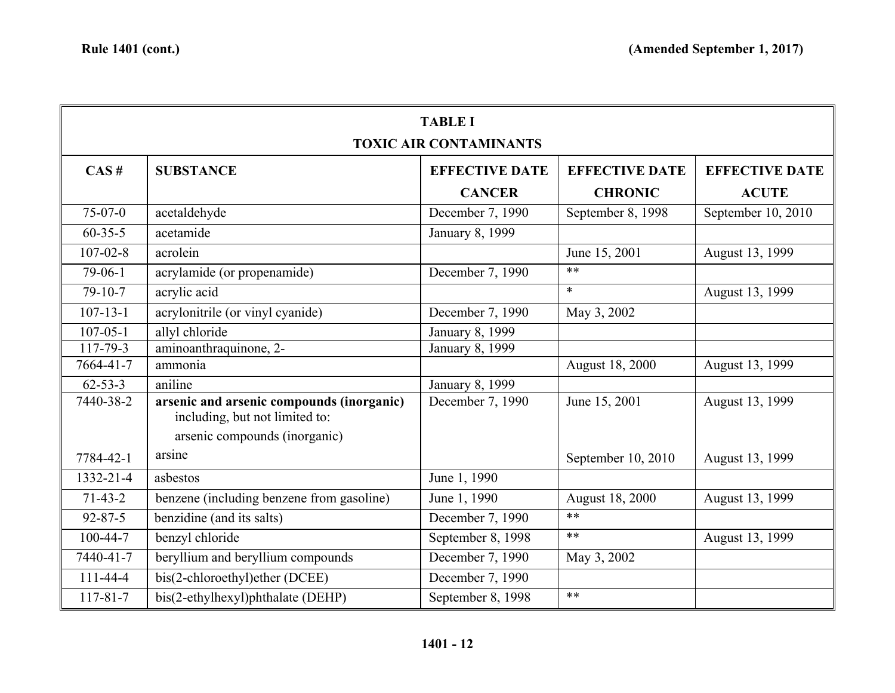| <b>TABLE I</b> |                                                                                                              |                       |                       |                       |  |  |
|----------------|--------------------------------------------------------------------------------------------------------------|-----------------------|-----------------------|-----------------------|--|--|
|                | <b>TOXIC AIR CONTAMINANTS</b>                                                                                |                       |                       |                       |  |  |
| CAS#           | <b>SUBSTANCE</b>                                                                                             | <b>EFFECTIVE DATE</b> | <b>EFFECTIVE DATE</b> | <b>EFFECTIVE DATE</b> |  |  |
|                |                                                                                                              | <b>CANCER</b>         | <b>CHRONIC</b>        | <b>ACUTE</b>          |  |  |
| $75-07-0$      | acetaldehyde                                                                                                 | December 7, 1990      | September 8, 1998     | September 10, 2010    |  |  |
| $60 - 35 - 5$  | acetamide                                                                                                    | January 8, 1999       |                       |                       |  |  |
| $107 - 02 - 8$ | acrolein                                                                                                     |                       | June 15, 2001         | August 13, 1999       |  |  |
| $79-06-1$      | acrylamide (or propenamide)                                                                                  | December 7, 1990      | $**$                  |                       |  |  |
| $79-10-7$      | acrylic acid                                                                                                 |                       | $\ast$                | August 13, 1999       |  |  |
| $107 - 13 - 1$ | acrylonitrile (or vinyl cyanide)                                                                             | December 7, 1990      | May 3, 2002           |                       |  |  |
| $107 - 05 - 1$ | allyl chloride                                                                                               | January 8, 1999       |                       |                       |  |  |
| 117-79-3       | aminoanthraquinone, 2-                                                                                       | January 8, 1999       |                       |                       |  |  |
| 7664-41-7      | ammonia                                                                                                      |                       | August 18, 2000       | August 13, 1999       |  |  |
| $62 - 53 - 3$  | aniline                                                                                                      | January 8, 1999       |                       |                       |  |  |
| 7440-38-2      | arsenic and arsenic compounds (inorganic)<br>including, but not limited to:<br>arsenic compounds (inorganic) | December 7, 1990      | June 15, 2001         | August 13, 1999       |  |  |
| 7784-42-1      | arsine                                                                                                       |                       | September 10, 2010    | August 13, 1999       |  |  |
| 1332-21-4      | asbestos                                                                                                     | June 1, 1990          |                       |                       |  |  |
| $71-43-2$      | benzene (including benzene from gasoline)                                                                    | June 1, 1990          | August 18, 2000       | August 13, 1999       |  |  |
| $92 - 87 - 5$  | benzidine (and its salts)                                                                                    | December 7, 1990      | $**$                  |                       |  |  |
| 100-44-7       | benzyl chloride                                                                                              | September 8, 1998     | $**$                  | August 13, 1999       |  |  |
| 7440-41-7      | beryllium and beryllium compounds                                                                            | December 7, 1990      | May 3, 2002           |                       |  |  |
| $111 - 44 - 4$ | bis(2-chloroethyl)ether (DCEE)                                                                               | December 7, 1990      |                       |                       |  |  |
| $117 - 81 - 7$ | bis(2-ethylhexyl)phthalate (DEHP)                                                                            | September 8, 1998     | $**$                  |                       |  |  |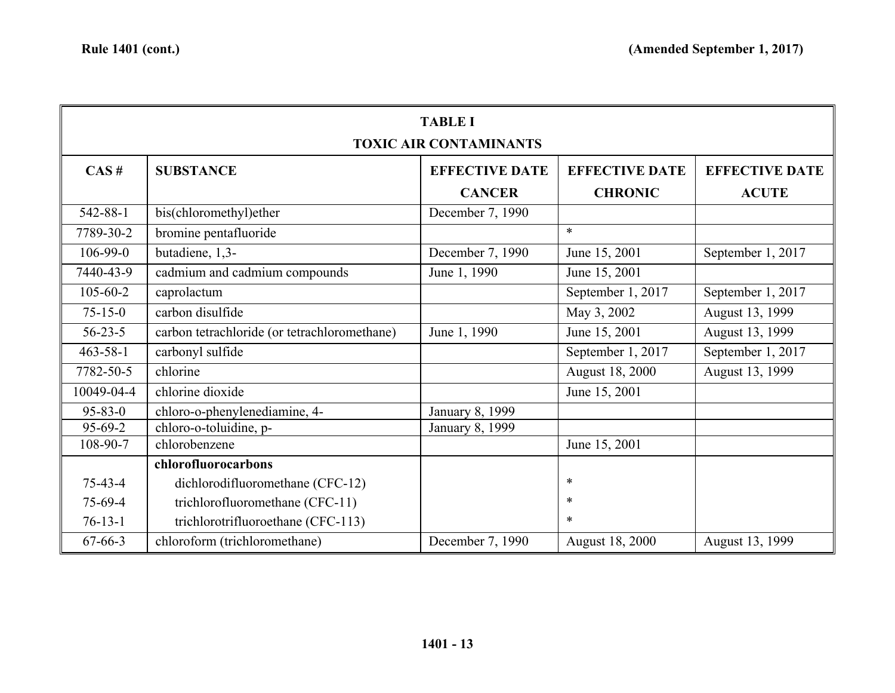| <b>TABLE I</b>                |                                              |                       |                       |                       |
|-------------------------------|----------------------------------------------|-----------------------|-----------------------|-----------------------|
| <b>TOXIC AIR CONTAMINANTS</b> |                                              |                       |                       |                       |
| CAS#                          | <b>SUBSTANCE</b>                             | <b>EFFECTIVE DATE</b> | <b>EFFECTIVE DATE</b> | <b>EFFECTIVE DATE</b> |
|                               |                                              | <b>CANCER</b>         | <b>CHRONIC</b>        | <b>ACUTE</b>          |
| 542-88-1                      | bis(chloromethyl)ether                       | December 7, 1990      |                       |                       |
| 7789-30-2                     | bromine pentafluoride                        |                       | $\ast$                |                       |
| 106-99-0                      | butadiene, 1,3-                              | December 7, 1990      | June 15, 2001         | September 1, 2017     |
| 7440-43-9                     | cadmium and cadmium compounds                | June 1, 1990          | June 15, 2001         |                       |
| $105 - 60 - 2$                | caprolactum                                  |                       | September 1, 2017     | September 1, 2017     |
| $75 - 15 - 0$                 | carbon disulfide                             |                       | May 3, 2002           | August 13, 1999       |
| $56 - 23 - 5$                 | carbon tetrachloride (or tetrachloromethane) | June 1, 1990          | June 15, 2001         | August 13, 1999       |
| $463 - 58 - 1$                | carbonyl sulfide                             |                       | September 1, 2017     | September 1, 2017     |
| 7782-50-5                     | chlorine                                     |                       | August 18, 2000       | August 13, 1999       |
| 10049-04-4                    | chlorine dioxide                             |                       | June 15, 2001         |                       |
| $95 - 83 - 0$                 | chloro-o-phenylenediamine, 4-                | January 8, 1999       |                       |                       |
| 95-69-2                       | chloro-o-toluidine, p-                       | January 8, 1999       |                       |                       |
| 108-90-7                      | chlorobenzene                                |                       | June 15, 2001         |                       |
|                               | chlorofluorocarbons                          |                       |                       |                       |
| $75 - 43 - 4$                 | dichlorodifluoromethane (CFC-12)             |                       | *                     |                       |
| 75-69-4                       | trichlorofluoromethane (CFC-11)              |                       | *                     |                       |
| $76-13-1$                     | trichlorotrifluoroethane (CFC-113)           |                       | $\ast$                |                       |
| $67 - 66 - 3$                 | chloroform (trichloromethane)                | December 7, 1990      | August 18, 2000       | August 13, 1999       |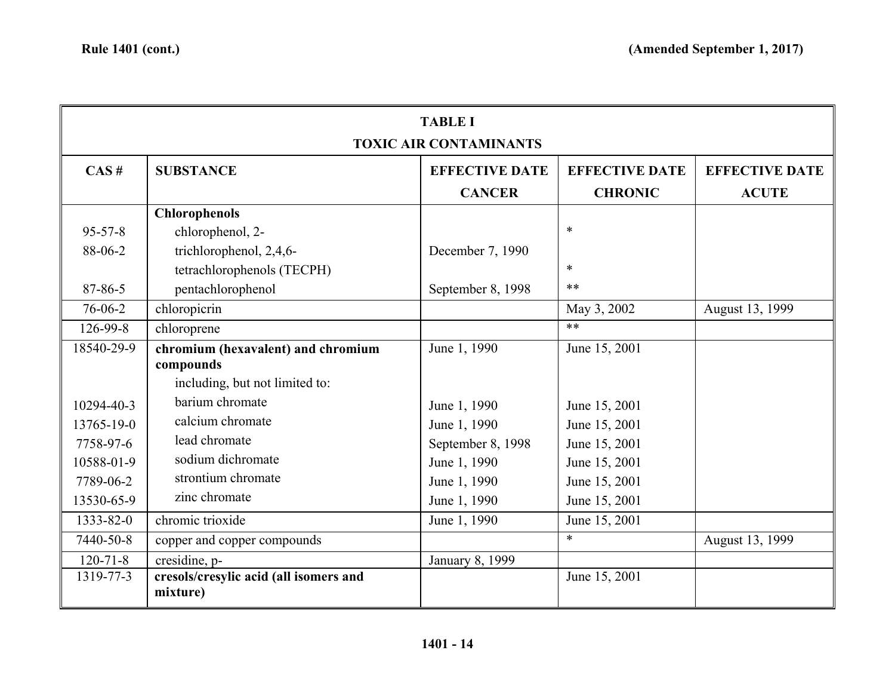| <b>TABLE I</b> |                                                    |                               |                       |                       |
|----------------|----------------------------------------------------|-------------------------------|-----------------------|-----------------------|
|                |                                                    | <b>TOXIC AIR CONTAMINANTS</b> |                       |                       |
| CAS#           | <b>SUBSTANCE</b>                                   | <b>EFFECTIVE DATE</b>         | <b>EFFECTIVE DATE</b> | <b>EFFECTIVE DATE</b> |
|                |                                                    | <b>CANCER</b>                 | <b>CHRONIC</b>        | <b>ACUTE</b>          |
|                | <b>Chlorophenols</b>                               |                               |                       |                       |
| $95 - 57 - 8$  | chlorophenol, 2-                                   |                               | *                     |                       |
| 88-06-2        | trichlorophenol, 2,4,6-                            | December 7, 1990              |                       |                       |
|                | tetrachlorophenols (TECPH)                         |                               | *                     |                       |
| 87-86-5        | pentachlorophenol                                  | September 8, 1998             | $**$                  |                       |
| 76-06-2        | chloropicrin                                       |                               | May 3, 2002           | August 13, 1999       |
| 126-99-8       | chloroprene                                        |                               | $**$                  |                       |
| 18540-29-9     | chromium (hexavalent) and chromium                 | June 1, 1990                  | June 15, 2001         |                       |
|                | compounds                                          |                               |                       |                       |
|                | including, but not limited to:                     |                               |                       |                       |
| 10294-40-3     | barium chromate                                    | June 1, 1990                  | June 15, 2001         |                       |
| 13765-19-0     | calcium chromate                                   | June 1, 1990                  | June 15, 2001         |                       |
| 7758-97-6      | lead chromate                                      | September 8, 1998             | June 15, 2001         |                       |
| 10588-01-9     | sodium dichromate                                  | June 1, 1990                  | June 15, 2001         |                       |
| 7789-06-2      | strontium chromate                                 | June 1, 1990                  | June 15, 2001         |                       |
| 13530-65-9     | zinc chromate                                      | June 1, 1990                  | June 15, 2001         |                       |
| 1333-82-0      | chromic trioxide                                   | June 1, 1990                  | June 15, 2001         |                       |
| 7440-50-8      | copper and copper compounds                        |                               | $\ast$                | August 13, 1999       |
| $120 - 71 - 8$ | cresidine, p-                                      | January 8, 1999               |                       |                       |
| 1319-77-3      | cresols/cresylic acid (all isomers and<br>mixture) |                               | June 15, 2001         |                       |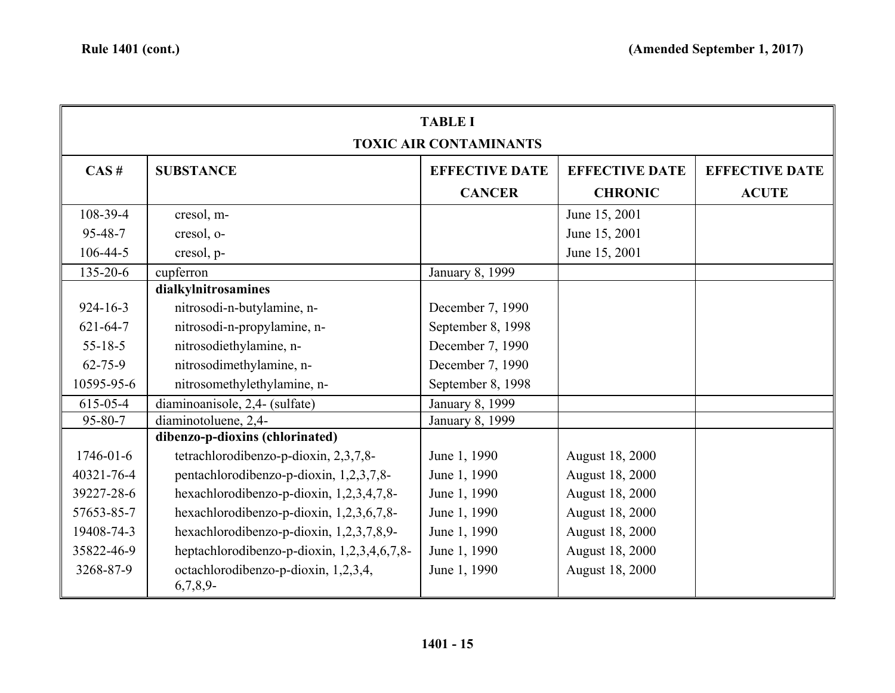| <b>TABLE I</b><br><b>TOXIC AIR CONTAMINANTS</b> |                                                     |                       |                        |                       |
|-------------------------------------------------|-----------------------------------------------------|-----------------------|------------------------|-----------------------|
| CAS#                                            | <b>SUBSTANCE</b>                                    | <b>EFFECTIVE DATE</b> | <b>EFFECTIVE DATE</b>  | <b>EFFECTIVE DATE</b> |
|                                                 |                                                     | <b>CANCER</b>         | <b>CHRONIC</b>         | <b>ACUTE</b>          |
| 108-39-4                                        | cresol, m-                                          |                       | June 15, 2001          |                       |
| 95-48-7                                         | cresol, o-                                          |                       | June 15, 2001          |                       |
| 106-44-5                                        | cresol, p-                                          |                       | June 15, 2001          |                       |
| 135-20-6                                        | cupferron                                           | January 8, 1999       |                        |                       |
|                                                 | dialkylnitrosamines                                 |                       |                        |                       |
| $924 - 16 - 3$                                  | nitrosodi-n-butylamine, n-                          | December 7, 1990      |                        |                       |
| $621 - 64 - 7$                                  | nitrosodi-n-propylamine, n-                         | September 8, 1998     |                        |                       |
| $55 - 18 - 5$                                   | nitrosodiethylamine, n-                             | December 7, 1990      |                        |                       |
| $62 - 75 - 9$                                   | nitrosodimethylamine, n-                            | December 7, 1990      |                        |                       |
| 10595-95-6                                      | nitrosomethylethylamine, n-                         | September 8, 1998     |                        |                       |
| 615-05-4                                        | diaminoanisole, 2,4- (sulfate)                      | January 8, 1999       |                        |                       |
| $95 - 80 - 7$                                   | diaminotoluene, 2,4-                                | January 8, 1999       |                        |                       |
|                                                 | dibenzo-p-dioxins (chlorinated)                     |                       |                        |                       |
| $1746 - 01 - 6$                                 | tetrachlorodibenzo-p-dioxin, 2,3,7,8-               | June 1, 1990          | August 18, 2000        |                       |
| 40321-76-4                                      | pentachlorodibenzo-p-dioxin, 1,2,3,7,8-             | June 1, 1990          | August 18, 2000        |                       |
| 39227-28-6                                      | hexachlorodibenzo-p-dioxin, 1,2,3,4,7,8-            | June 1, 1990          | August 18, 2000        |                       |
| 57653-85-7                                      | hexachlorodibenzo-p-dioxin, 1,2,3,6,7,8-            | June 1, 1990          | August 18, 2000        |                       |
| 19408-74-3                                      | hexachlorodibenzo-p-dioxin, 1,2,3,7,8,9-            | June 1, 1990          | August 18, 2000        |                       |
| 35822-46-9                                      | heptachlorodibenzo-p-dioxin, 1,2,3,4,6,7,8-         | June 1, 1990          | August 18, 2000        |                       |
| 3268-87-9                                       | octachlorodibenzo-p-dioxin, 1,2,3,4,<br>$6,7,8,9$ - | June 1, 1990          | <b>August 18, 2000</b> |                       |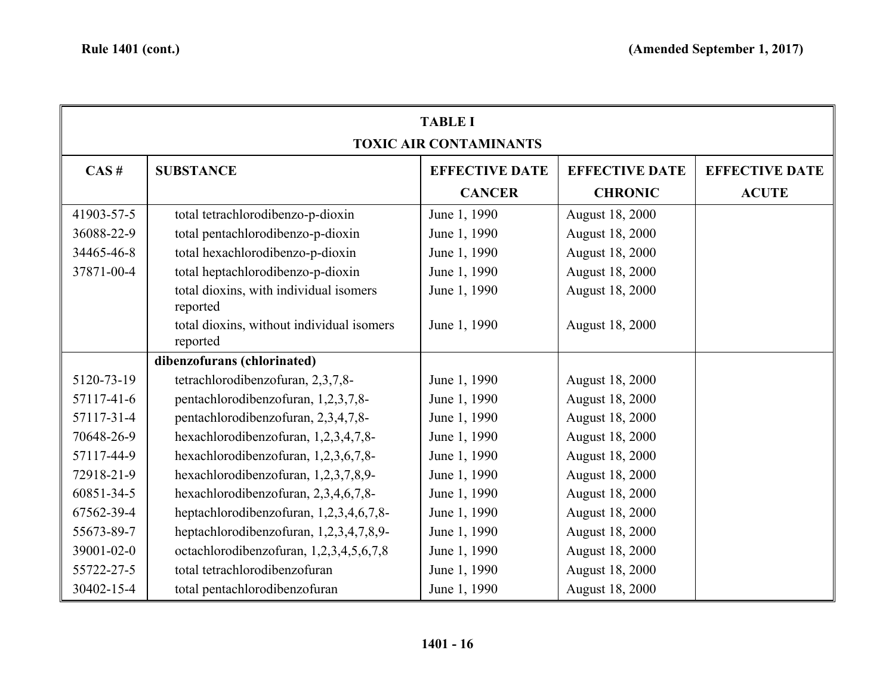| <b>TABLE I</b><br><b>TOXIC AIR CONTAMINANTS</b> |                                                       |                       |                        |                       |
|-------------------------------------------------|-------------------------------------------------------|-----------------------|------------------------|-----------------------|
| CAS#                                            | <b>SUBSTANCE</b>                                      | <b>EFFECTIVE DATE</b> | <b>EFFECTIVE DATE</b>  | <b>EFFECTIVE DATE</b> |
|                                                 |                                                       | <b>CANCER</b>         | <b>CHRONIC</b>         | <b>ACUTE</b>          |
| 41903-57-5                                      | total tetrachlorodibenzo-p-dioxin                     | June 1, 1990          | August 18, 2000        |                       |
| 36088-22-9                                      | total pentachlorodibenzo-p-dioxin                     | June 1, 1990          | August 18, 2000        |                       |
| 34465-46-8                                      | total hexachlorodibenzo-p-dioxin                      | June 1, 1990          | <b>August 18, 2000</b> |                       |
| 37871-00-4                                      | total heptachlorodibenzo-p-dioxin                     | June 1, 1990          | August 18, 2000        |                       |
|                                                 | total dioxins, with individual isomers<br>reported    | June 1, 1990          | August 18, 2000        |                       |
|                                                 | total dioxins, without individual isomers<br>reported | June 1, 1990          | August 18, 2000        |                       |
|                                                 | dibenzofurans (chlorinated)                           |                       |                        |                       |
| 5120-73-19                                      | tetrachlorodibenzofuran, 2,3,7,8-                     | June 1, 1990          | August 18, 2000        |                       |
| 57117-41-6                                      | pentachlorodibenzofuran, 1,2,3,7,8-                   | June 1, 1990          | <b>August 18, 2000</b> |                       |
| 57117-31-4                                      | pentachlorodibenzofuran, 2,3,4,7,8-                   | June 1, 1990          | August 18, 2000        |                       |
| 70648-26-9                                      | hexachlorodibenzofuran, 1,2,3,4,7,8-                  | June 1, 1990          | August 18, 2000        |                       |
| 57117-44-9                                      | hexachlorodibenzofuran, 1,2,3,6,7,8-                  | June 1, 1990          | August 18, 2000        |                       |
| 72918-21-9                                      | hexachlorodibenzofuran, 1,2,3,7,8,9-                  | June 1, 1990          | August 18, 2000        |                       |
| 60851-34-5                                      | hexachlorodibenzofuran, 2,3,4,6,7,8-                  | June 1, 1990          | August 18, 2000        |                       |
| 67562-39-4                                      | heptachlorodibenzofuran, 1,2,3,4,6,7,8-               | June 1, 1990          | August 18, 2000        |                       |
| 55673-89-7                                      | heptachlorodibenzofuran, 1,2,3,4,7,8,9-               | June 1, 1990          | August 18, 2000        |                       |
| 39001-02-0                                      | octachlorodibenzofuran, 1,2,3,4,5,6,7,8               | June 1, 1990          | August 18, 2000        |                       |
| 55722-27-5                                      | total tetrachlorodibenzofuran                         | June 1, 1990          | August 18, 2000        |                       |
| 30402-15-4                                      | total pentachlorodibenzofuran                         | June 1, 1990          | August 18, 2000        |                       |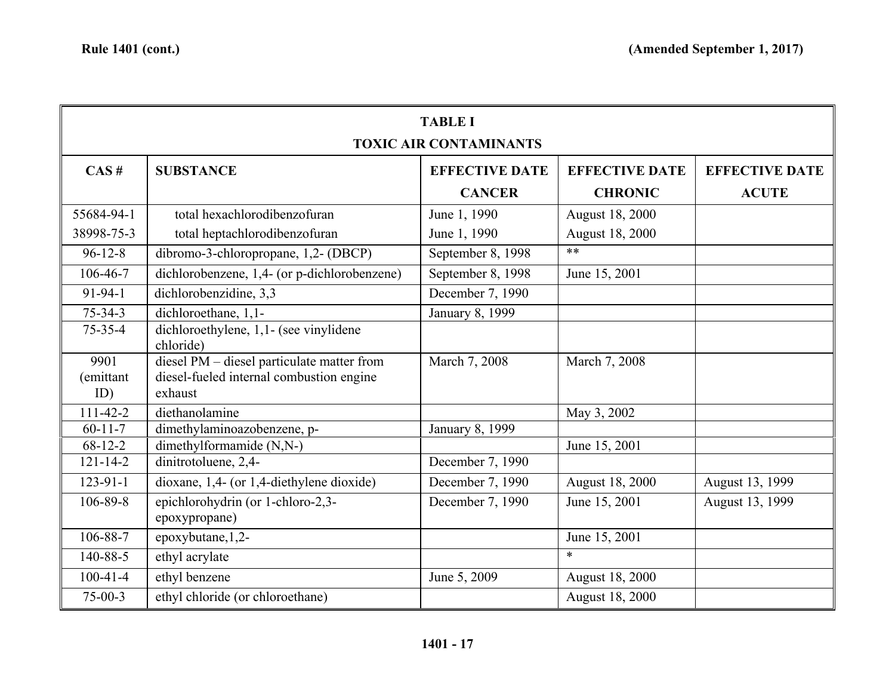| <b>TABLE I</b><br><b>TOXIC AIR CONTAMINANTS</b> |                                                                                                   |                       |                       |                       |
|-------------------------------------------------|---------------------------------------------------------------------------------------------------|-----------------------|-----------------------|-----------------------|
| CAS#                                            | <b>SUBSTANCE</b>                                                                                  | <b>EFFECTIVE DATE</b> | <b>EFFECTIVE DATE</b> | <b>EFFECTIVE DATE</b> |
|                                                 |                                                                                                   | <b>CANCER</b>         | <b>CHRONIC</b>        | <b>ACUTE</b>          |
| 55684-94-1                                      | total hexachlorodibenzofuran                                                                      | June 1, 1990          | August 18, 2000       |                       |
| 38998-75-3                                      | total heptachlorodibenzofuran                                                                     | June 1, 1990          | August 18, 2000       |                       |
| $96 - 12 - 8$                                   | dibromo-3-chloropropane, 1,2- (DBCP)                                                              | September 8, 1998     | $**$                  |                       |
| 106-46-7                                        | dichlorobenzene, 1,4- (or p-dichlorobenzene)                                                      | September 8, 1998     | June 15, 2001         |                       |
| 91-94-1                                         | dichlorobenzidine, 3,3                                                                            | December 7, 1990      |                       |                       |
| $75 - 34 - 3$                                   | dichloroethane, 1,1-                                                                              | January 8, 1999       |                       |                       |
| $75 - 35 - 4$                                   | dichloroethylene, 1,1- (see vinylidene<br>chloride)                                               |                       |                       |                       |
| 9901<br>(emittant<br>ID)                        | diesel PM - diesel particulate matter from<br>diesel-fueled internal combustion engine<br>exhaust | March 7, 2008         | March 7, 2008         |                       |
| $111-42-2$                                      | diethanolamine                                                                                    |                       | May 3, 2002           |                       |
| $60 - 11 - 7$                                   | dimethylaminoazobenzene, p-                                                                       | January 8, 1999       |                       |                       |
| $68-12-2$                                       | dimethylformamide (N,N-)                                                                          |                       | June 15, 2001         |                       |
| $121 - 14 - 2$                                  | dinitrotoluene, 2,4-                                                                              | December 7, 1990      |                       |                       |
| $123 - 91 - 1$                                  | dioxane, 1,4- (or 1,4-diethylene dioxide)                                                         | December 7, 1990      | August 18, 2000       | August 13, 1999       |
| 106-89-8                                        | epichlorohydrin (or 1-chloro-2,3-<br>epoxypropane)                                                | December 7, 1990      | June 15, 2001         | August 13, 1999       |
| 106-88-7                                        | epoxybutane, 1,2-                                                                                 |                       | June 15, 2001         |                       |
| 140-88-5                                        | ethyl acrylate                                                                                    |                       | $\ast$                |                       |
| $100-41-4$                                      | ethyl benzene                                                                                     | June 5, 2009          | August 18, 2000       |                       |
| $75-00-3$                                       | ethyl chloride (or chloroethane)                                                                  |                       | August 18, 2000       |                       |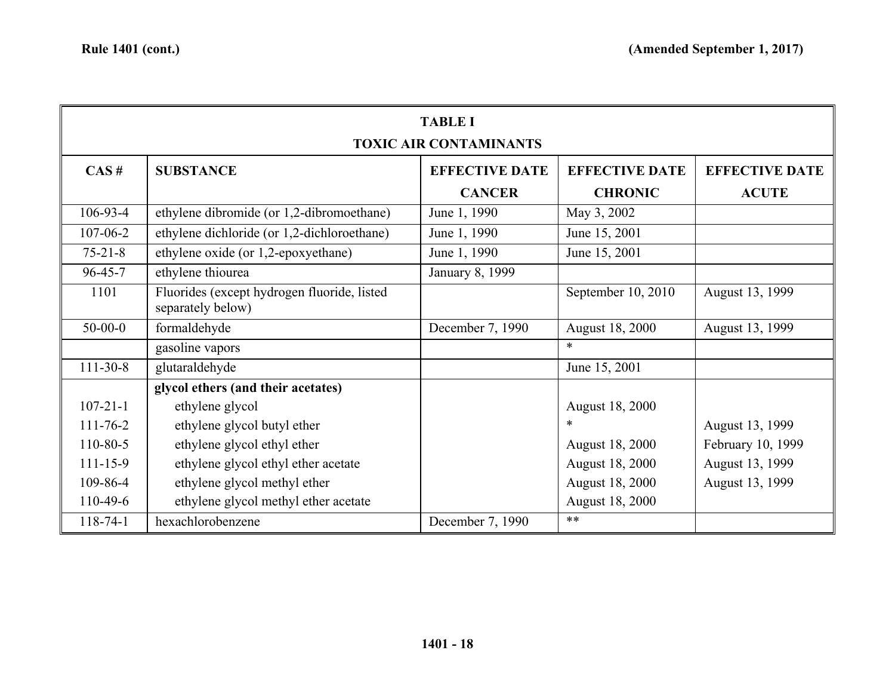| <b>TABLE I</b> |                                                                  |                       |                        |                       |  |  |
|----------------|------------------------------------------------------------------|-----------------------|------------------------|-----------------------|--|--|
|                | <b>TOXIC AIR CONTAMINANTS</b>                                    |                       |                        |                       |  |  |
| CAS#           | <b>SUBSTANCE</b>                                                 | <b>EFFECTIVE DATE</b> | <b>EFFECTIVE DATE</b>  | <b>EFFECTIVE DATE</b> |  |  |
|                |                                                                  | <b>CANCER</b>         | <b>CHRONIC</b>         | <b>ACUTE</b>          |  |  |
| $106-93-4$     | ethylene dibromide (or 1,2-dibromoethane)                        | June 1, 1990          | May 3, 2002            |                       |  |  |
| $107 - 06 - 2$ | ethylene dichloride (or 1,2-dichloroethane)                      | June 1, 1990          | June 15, 2001          |                       |  |  |
| $75 - 21 - 8$  | ethylene oxide (or 1,2-epoxyethane)                              | June 1, 1990          | June 15, 2001          |                       |  |  |
| $96 - 45 - 7$  | ethylene thiourea                                                | January 8, 1999       |                        |                       |  |  |
| 1101           | Fluorides (except hydrogen fluoride, listed<br>separately below) |                       | September 10, 2010     | August 13, 1999       |  |  |
| $50 - 00 - 0$  | formaldehyde                                                     | December 7, 1990      | <b>August 18, 2000</b> | August 13, 1999       |  |  |
|                | gasoline vapors                                                  |                       | $\ast$                 |                       |  |  |
| $111 - 30 - 8$ | glutaraldehyde                                                   |                       | June 15, 2001          |                       |  |  |
|                | glycol ethers (and their acetates)                               |                       |                        |                       |  |  |
| $107 - 21 - 1$ | ethylene glycol                                                  |                       | August 18, 2000        |                       |  |  |
| $111 - 76 - 2$ | ethylene glycol butyl ether                                      |                       | $\ast$                 | August 13, 1999       |  |  |
| 110-80-5       | ethylene glycol ethyl ether                                      |                       | <b>August 18, 2000</b> | February 10, 1999     |  |  |
| $111 - 15 - 9$ | ethylene glycol ethyl ether acetate                              |                       | August 18, 2000        | August 13, 1999       |  |  |
| 109-86-4       | ethylene glycol methyl ether                                     |                       | August 18, 2000        | August 13, 1999       |  |  |
| 110-49-6       | ethylene glycol methyl ether acetate                             |                       | August 18, 2000        |                       |  |  |
| $118 - 74 - 1$ | hexachlorobenzene                                                | December 7, 1990      | $**$                   |                       |  |  |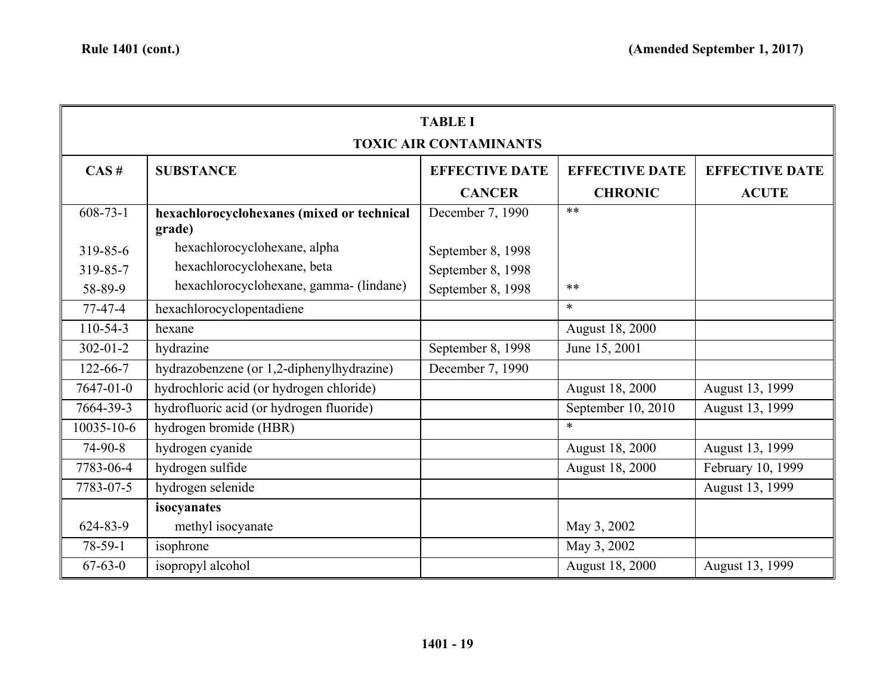| <b>TABLE I</b>                |                                                      |                       |                        |                       |
|-------------------------------|------------------------------------------------------|-----------------------|------------------------|-----------------------|
| <b>TOXIC AIR CONTAMINANTS</b> |                                                      |                       |                        |                       |
| CAS#                          | <b>SUBSTANCE</b>                                     | <b>EFFECTIVE DATE</b> | <b>EFFECTIVE DATE</b>  | <b>EFFECTIVE DATE</b> |
|                               |                                                      | <b>CANCER</b>         | <b>CHRONIC</b>         | <b>ACUTE</b>          |
| $608 - 73 - 1$                | hexachlorocyclohexanes (mixed or technical<br>grade) | December 7, 1990      | $**$                   |                       |
| 319-85-6                      | hexachlorocyclohexane, alpha                         | September 8, 1998     |                        |                       |
| 319-85-7                      | hexachlorocyclohexane, beta                          | September 8, 1998     |                        |                       |
| 58-89-9                       | hexachlorocyclohexane, gamma- (lindane)              | September 8, 1998     | $**$                   |                       |
| $77-47-4$                     | hexachlorocyclopentadiene                            |                       | $\ast$                 |                       |
| $110-54-3$                    | hexane                                               |                       | August 18, 2000        |                       |
| $302 - 01 - 2$                | hydrazine                                            | September 8, 1998     | June 15, 2001          |                       |
| $122 - 66 - 7$                | hydrazobenzene (or 1,2-diphenylhydrazine)            | December 7, 1990      |                        |                       |
| 7647-01-0                     | hydrochloric acid (or hydrogen chloride)             |                       | August 18, 2000        | August 13, 1999       |
| 7664-39-3                     | hydrofluoric acid (or hydrogen fluoride)             |                       | September 10, 2010     | August 13, 1999       |
| $10035 - 10 - 6$              | hydrogen bromide (HBR)                               |                       | $*$                    |                       |
| $74-90-8$                     | hydrogen cyanide                                     |                       | <b>August 18, 2000</b> | August 13, 1999       |
| 7783-06-4                     | hydrogen sulfide                                     |                       | <b>August 18, 2000</b> | February 10, 1999     |
| 7783-07-5                     | hydrogen selenide                                    |                       |                        | August 13, 1999       |
|                               | isocyanates                                          |                       |                        |                       |
| 624-83-9                      | methyl isocyanate                                    |                       | May 3, 2002            |                       |
| 78-59-1                       | isophrone                                            |                       | May 3, 2002            |                       |
| $67 - 63 - 0$                 | isopropyl alcohol                                    |                       | August 18, 2000        | August 13, 1999       |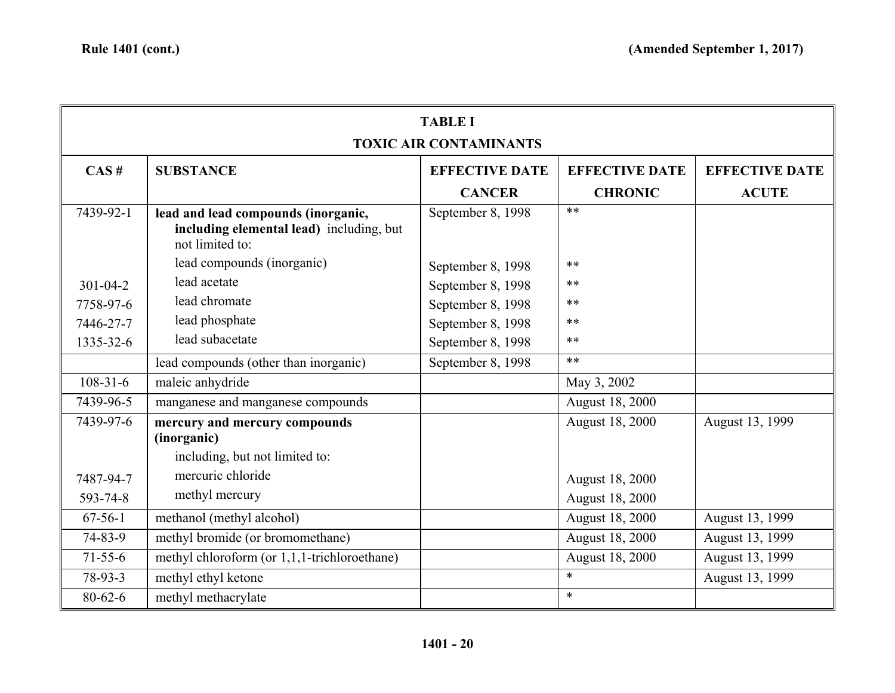| <b>TABLE I</b><br><b>TOXIC AIR CONTAMINANTS</b> |                                                                                                    |                       |                       |                       |
|-------------------------------------------------|----------------------------------------------------------------------------------------------------|-----------------------|-----------------------|-----------------------|
| CAS#                                            | <b>SUBSTANCE</b>                                                                                   | <b>EFFECTIVE DATE</b> | <b>EFFECTIVE DATE</b> | <b>EFFECTIVE DATE</b> |
|                                                 |                                                                                                    | <b>CANCER</b>         | <b>CHRONIC</b>        | <b>ACUTE</b>          |
| 7439-92-1                                       | lead and lead compounds (inorganic,<br>including elemental lead) including, but<br>not limited to: | September 8, 1998     | $**$                  |                       |
|                                                 | lead compounds (inorganic)                                                                         | September 8, 1998     | $***$                 |                       |
| $301 - 04 - 2$                                  | lead acetate                                                                                       | September 8, 1998     | $***$                 |                       |
| 7758-97-6                                       | lead chromate                                                                                      | September 8, 1998     | $***$                 |                       |
| 7446-27-7                                       | lead phosphate                                                                                     | September 8, 1998     | $***$                 |                       |
| 1335-32-6                                       | lead subacetate                                                                                    | September 8, 1998     | $***$                 |                       |
|                                                 | lead compounds (other than inorganic)                                                              | September 8, 1998     | $**$                  |                       |
| $108 - 31 - 6$                                  | maleic anhydride                                                                                   |                       | May 3, 2002           |                       |
| 7439-96-5                                       | manganese and manganese compounds                                                                  |                       | August 18, 2000       |                       |
| 7439-97-6                                       | mercury and mercury compounds<br>(inorganic)<br>including, but not limited to:                     |                       | August 18, 2000       | August 13, 1999       |
| 7487-94-7                                       | mercuric chloride                                                                                  |                       | August 18, 2000       |                       |
| 593-74-8                                        | methyl mercury                                                                                     |                       | August 18, 2000       |                       |
| $67-56-1$                                       | methanol (methyl alcohol)                                                                          |                       | August 18, 2000       | August 13, 1999       |
| 74-83-9                                         | methyl bromide (or bromomethane)                                                                   |                       | August 18, 2000       | August 13, 1999       |
| $71 - 55 - 6$                                   | methyl chloroform (or 1,1,1-trichloroethane)                                                       |                       | August 18, 2000       | August 13, 1999       |
| $78-93-3$                                       | methyl ethyl ketone                                                                                |                       | $\ast$                | August 13, 1999       |
| $80 - 62 - 6$                                   | methyl methacrylate                                                                                |                       | $\ast$                |                       |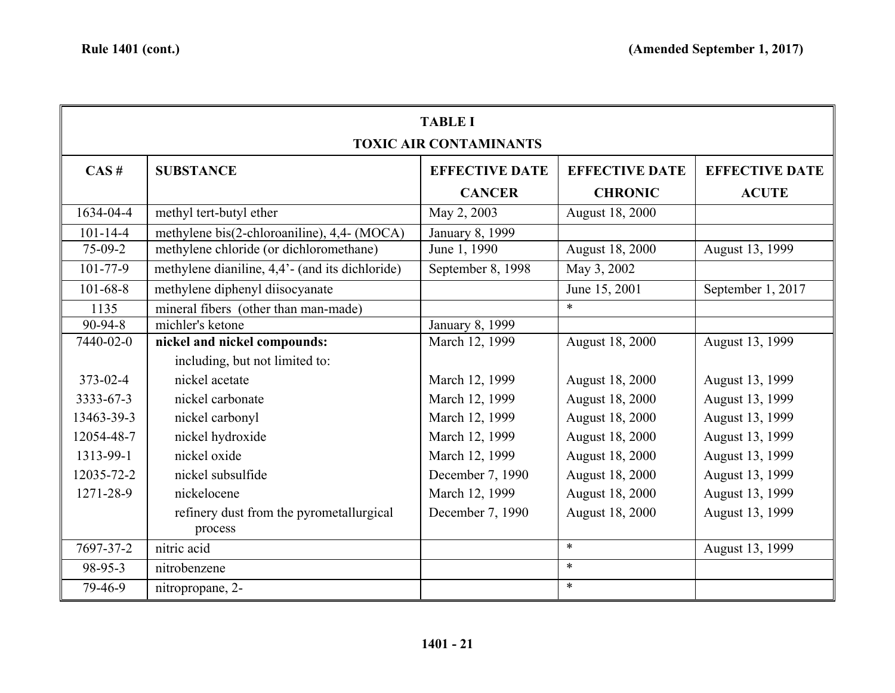| <b>TABLE I</b><br><b>TOXIC AIR CONTAMINANTS</b> |                                                 |                       |                        |                       |
|-------------------------------------------------|-------------------------------------------------|-----------------------|------------------------|-----------------------|
| CAS#                                            | <b>SUBSTANCE</b>                                | <b>EFFECTIVE DATE</b> | <b>EFFECTIVE DATE</b>  | <b>EFFECTIVE DATE</b> |
|                                                 |                                                 | <b>CANCER</b>         | <b>CHRONIC</b>         | <b>ACUTE</b>          |
| 1634-04-4                                       | methyl tert-butyl ether                         | May 2, 2003           | August 18, 2000        |                       |
| $101 - 14 - 4$                                  | methylene bis(2-chloroaniline), 4,4- (MOCA)     | January 8, 1999       |                        |                       |
| $75-09-2$                                       | methylene chloride (or dichloromethane)         | June 1, 1990          | <b>August 18, 2000</b> | August 13, 1999       |
| $101 - 77 - 9$                                  | methylene dianiline, 4,4'- (and its dichloride) | September 8, 1998     | May 3, 2002            |                       |
| $101 - 68 - 8$                                  | methylene diphenyl diisocyanate                 |                       | June 15, 2001          | September 1, 2017     |
| 1135                                            | mineral fibers (other than man-made)            |                       | $\ast$                 |                       |
| $90 - 94 - 8$                                   | michler's ketone                                | January 8, 1999       |                        |                       |
| 7440-02-0                                       | nickel and nickel compounds:                    | March 12, 1999        | August 18, 2000        | August 13, 1999       |
|                                                 | including, but not limited to:                  |                       |                        |                       |
| $373 - 02 - 4$                                  | nickel acetate                                  | March 12, 1999        | August 18, 2000        | August 13, 1999       |
| 3333-67-3                                       | nickel carbonate                                | March 12, 1999        | August 18, 2000        | August 13, 1999       |
| 13463-39-3                                      | nickel carbonyl                                 | March 12, 1999        | August 18, 2000        | August 13, 1999       |
| 12054-48-7                                      | nickel hydroxide                                | March 12, 1999        | <b>August 18, 2000</b> | August 13, 1999       |
| 1313-99-1                                       | nickel oxide                                    | March 12, 1999        | August 18, 2000        | August 13, 1999       |
| 12035-72-2                                      | nickel subsulfide                               | December 7, 1990      | August 18, 2000        | August 13, 1999       |
| 1271-28-9                                       | nickelocene                                     | March 12, 1999        | August 18, 2000        | August 13, 1999       |
|                                                 | refinery dust from the pyrometallurgical        | December 7, 1990      | August 18, 2000        | August 13, 1999       |
|                                                 | process                                         |                       |                        |                       |
| 7697-37-2                                       | nitric acid                                     |                       | $\ast$                 | August 13, 1999       |
| 98-95-3                                         | nitrobenzene                                    |                       | $\ast$                 |                       |
| 79-46-9                                         | nitropropane, 2-                                |                       | $\ast$                 |                       |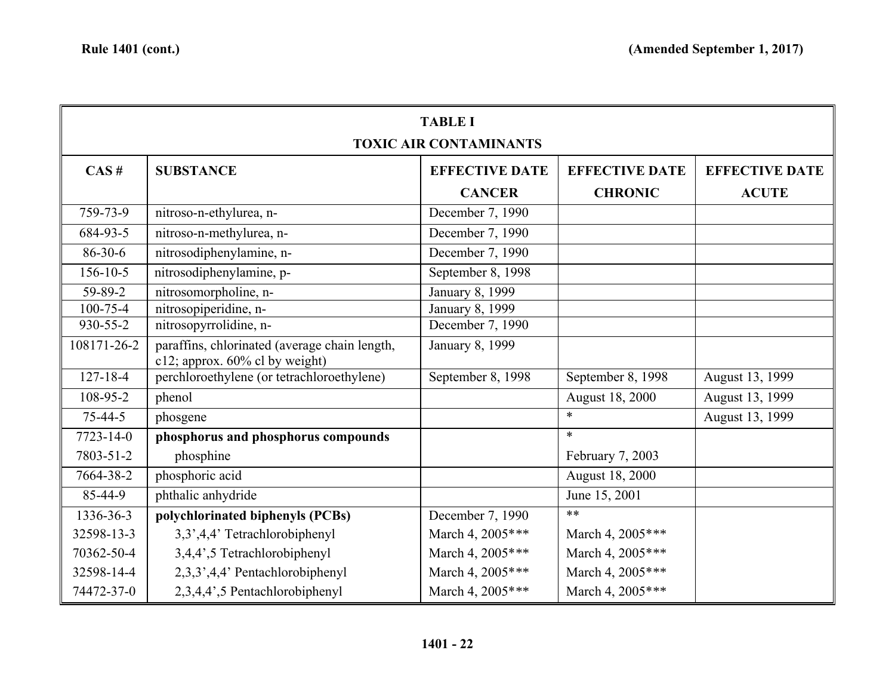| <b>TABLE I</b><br><b>TOXIC AIR CONTAMINANTS</b> |                                                                                 |                       |                       |                       |
|-------------------------------------------------|---------------------------------------------------------------------------------|-----------------------|-----------------------|-----------------------|
| CAS#                                            | <b>SUBSTANCE</b>                                                                | <b>EFFECTIVE DATE</b> | <b>EFFECTIVE DATE</b> | <b>EFFECTIVE DATE</b> |
|                                                 |                                                                                 | <b>CANCER</b>         | <b>CHRONIC</b>        | <b>ACUTE</b>          |
| 759-73-9                                        | nitroso-n-ethylurea, n-                                                         | December 7, 1990      |                       |                       |
| 684-93-5                                        | nitroso-n-methylurea, n-                                                        | December 7, 1990      |                       |                       |
| $86 - 30 - 6$                                   | nitrosodiphenylamine, n-                                                        | December 7, 1990      |                       |                       |
| $156 - 10 - 5$                                  | nitrosodiphenylamine, p-                                                        | September 8, 1998     |                       |                       |
| 59-89-2                                         | nitrosomorpholine, n-                                                           | January 8, 1999       |                       |                       |
| 100-75-4                                        | nitrosopiperidine, n-                                                           | January 8, 1999       |                       |                       |
| $930 - 55 - 2$                                  | nitrosopyrrolidine, n-                                                          | December 7, 1990      |                       |                       |
| 108171-26-2                                     | paraffins, chlorinated (average chain length,<br>c12; approx. 60% cl by weight) | January 8, 1999       |                       |                       |
| $127 - 18 - 4$                                  | perchloroethylene (or tetrachloroethylene)                                      | September 8, 1998     | September 8, 1998     | August 13, 1999       |
| 108-95-2                                        | phenol                                                                          |                       | August 18, 2000       | August 13, 1999       |
| $75 - 44 - 5$                                   | phosgene                                                                        |                       | $\ast$                | August 13, 1999       |
| $7723 - 14 - 0$                                 | phosphorus and phosphorus compounds                                             |                       | $\ast$                |                       |
| 7803-51-2                                       | phosphine                                                                       |                       | February 7, 2003      |                       |
| 7664-38-2                                       | phosphoric acid                                                                 |                       | August 18, 2000       |                       |
| 85-44-9                                         | phthalic anhydride                                                              |                       | June 15, 2001         |                       |
| 1336-36-3                                       | polychlorinated biphenyls (PCBs)                                                | December 7, 1990      | $**$                  |                       |
| 32598-13-3                                      | 3,3',4,4' Tetrachlorobiphenyl                                                   | March 4, 2005***      | March 4, 2005***      |                       |
| 70362-50-4                                      | 3,4,4',5 Tetrachlorobiphenyl                                                    | March 4, 2005***      | March 4, 2005***      |                       |
| 32598-14-4                                      | 2,3,3',4,4' Pentachlorobiphenyl                                                 | March 4, 2005***      | March 4, 2005***      |                       |
| 74472-37-0                                      | 2,3,4,4',5 Pentachlorobiphenyl                                                  | March 4, 2005***      | March 4, 2005***      |                       |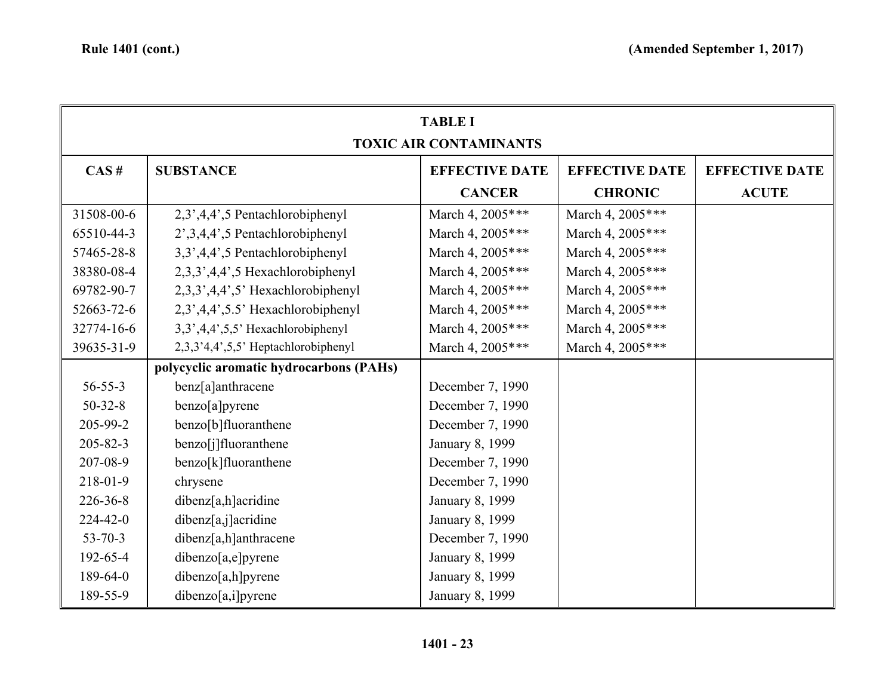| <b>TABLE I</b><br><b>TOXIC AIR CONTAMINANTS</b> |                                         |                       |                       |                       |
|-------------------------------------------------|-----------------------------------------|-----------------------|-----------------------|-----------------------|
| CAS#                                            | <b>SUBSTANCE</b>                        | <b>EFFECTIVE DATE</b> | <b>EFFECTIVE DATE</b> | <b>EFFECTIVE DATE</b> |
|                                                 |                                         | <b>CANCER</b>         | <b>CHRONIC</b>        | <b>ACUTE</b>          |
| 31508-00-6                                      | 2,3',4,4',5 Pentachlorobiphenyl         | March 4, 2005***      | March 4, 2005***      |                       |
| 65510-44-3                                      | 2', 3, 4, 4', 5 Pentachlorobiphenyl     | March 4, 2005***      | March 4, 2005***      |                       |
| 57465-28-8                                      | 3,3',4,4',5 Pentachlorobiphenyl         | March 4, 2005***      | March 4, 2005***      |                       |
| 38380-08-4                                      | 2,3,3',4,4',5 Hexachlorobiphenyl        | March 4, 2005***      | March 4, 2005***      |                       |
| 69782-90-7                                      | 2,3,3',4,4',5' Hexachlorobiphenyl       | March 4, 2005***      | March 4, 2005***      |                       |
| 52663-72-6                                      | 2,3',4,4',5.5' Hexachlorobiphenyl       | March 4, 2005***      | March 4, 2005***      |                       |
| 32774-16-6                                      | $3,3',4,4',5,5'$ Hexachlorobiphenyl     | March 4, 2005***      | March 4, 2005***      |                       |
| 39635-31-9                                      | 2,3,3'4,4',5,5' Heptachlorobiphenyl     | March 4, 2005***      | March 4, 2005***      |                       |
|                                                 | polycyclic aromatic hydrocarbons (PAHs) |                       |                       |                       |
| $56 - 55 - 3$                                   | benz[a]anthracene                       | December 7, 1990      |                       |                       |
| $50 - 32 - 8$                                   | benzo[a]pyrene                          | December 7, 1990      |                       |                       |
| 205-99-2                                        | benzo[b]fluoranthene                    | December 7, 1990      |                       |                       |
| $205 - 82 - 3$                                  | benzo[j]fluoranthene                    | January 8, 1999       |                       |                       |
| 207-08-9                                        | benzo[k]fluoranthene                    | December 7, 1990      |                       |                       |
| 218-01-9                                        | chrysene                                | December 7, 1990      |                       |                       |
| 226-36-8                                        | dibenz[a,h]acridine                     | January 8, 1999       |                       |                       |
| $224 - 42 - 0$                                  | dibenz[a,j]acridine                     | January 8, 1999       |                       |                       |
| $53 - 70 - 3$                                   | dibenz[a,h]anthracene                   | December 7, 1990      |                       |                       |
| 192-65-4                                        | dibenzo[a,e]pyrene                      | January 8, 1999       |                       |                       |
| 189-64-0                                        | dibenzo[a,h]pyrene                      | January 8, 1999       |                       |                       |
| 189-55-9                                        | dibenzo[a,i]pyrene                      | January 8, 1999       |                       |                       |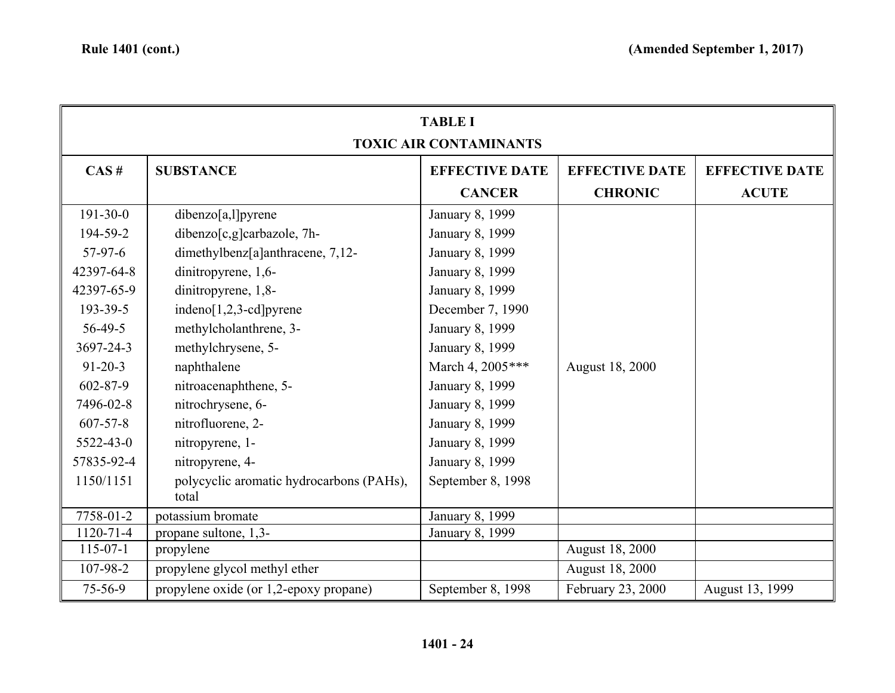| <b>TABLE I</b><br><b>TOXIC AIR CONTAMINANTS</b> |                                                   |                       |                       |                       |  |
|-------------------------------------------------|---------------------------------------------------|-----------------------|-----------------------|-----------------------|--|
| CAS#                                            | <b>SUBSTANCE</b>                                  | <b>EFFECTIVE DATE</b> | <b>EFFECTIVE DATE</b> | <b>EFFECTIVE DATE</b> |  |
|                                                 |                                                   | <b>CANCER</b>         | <b>CHRONIC</b>        | <b>ACUTE</b>          |  |
| $191 - 30 - 0$                                  | dibenzo[a,l]pyrene                                | January 8, 1999       |                       |                       |  |
| 194-59-2                                        | dibenzo[c,g]carbazole, 7h-                        | January 8, 1999       |                       |                       |  |
| $57-97-6$                                       | dimethylbenz[a]anthracene, 7,12-                  | January 8, 1999       |                       |                       |  |
| 42397-64-8                                      | dinitropyrene, 1,6-                               | January 8, 1999       |                       |                       |  |
| 42397-65-9                                      | dinitropyrene, 1,8-                               | January 8, 1999       |                       |                       |  |
| 193-39-5                                        | indeno $[1,2,3$ -cd]pyrene                        | December 7, 1990      |                       |                       |  |
| $56-49-5$                                       | methylcholanthrene, 3-                            | January 8, 1999       |                       |                       |  |
| 3697-24-3                                       | methylchrysene, 5-                                | January 8, 1999       |                       |                       |  |
| $91 - 20 - 3$                                   | naphthalene                                       | March 4, 2005 ***     | August 18, 2000       |                       |  |
| $602 - 87 - 9$                                  | nitroacenaphthene, 5-                             | January 8, 1999       |                       |                       |  |
| 7496-02-8                                       | nitrochrysene, 6-                                 | January 8, 1999       |                       |                       |  |
| $607 - 57 - 8$                                  | nitrofluorene, 2-                                 | January 8, 1999       |                       |                       |  |
| 5522-43-0                                       | nitropyrene, 1-                                   | January 8, 1999       |                       |                       |  |
| 57835-92-4                                      | nitropyrene, 4-                                   | January 8, 1999       |                       |                       |  |
| 1150/1151                                       | polycyclic aromatic hydrocarbons (PAHs),<br>total | September 8, 1998     |                       |                       |  |
| 7758-01-2                                       | potassium bromate                                 | January 8, 1999       |                       |                       |  |
| 1120-71-4                                       | propane sultone, 1,3-                             | January 8, 1999       |                       |                       |  |
| $115-07-1$                                      | propylene                                         |                       | August 18, 2000       |                       |  |
| 107-98-2                                        | propylene glycol methyl ether                     |                       | August 18, 2000       |                       |  |
| 75-56-9                                         | propylene oxide (or 1,2-epoxy propane)            | September 8, 1998     | February 23, 2000     | August 13, 1999       |  |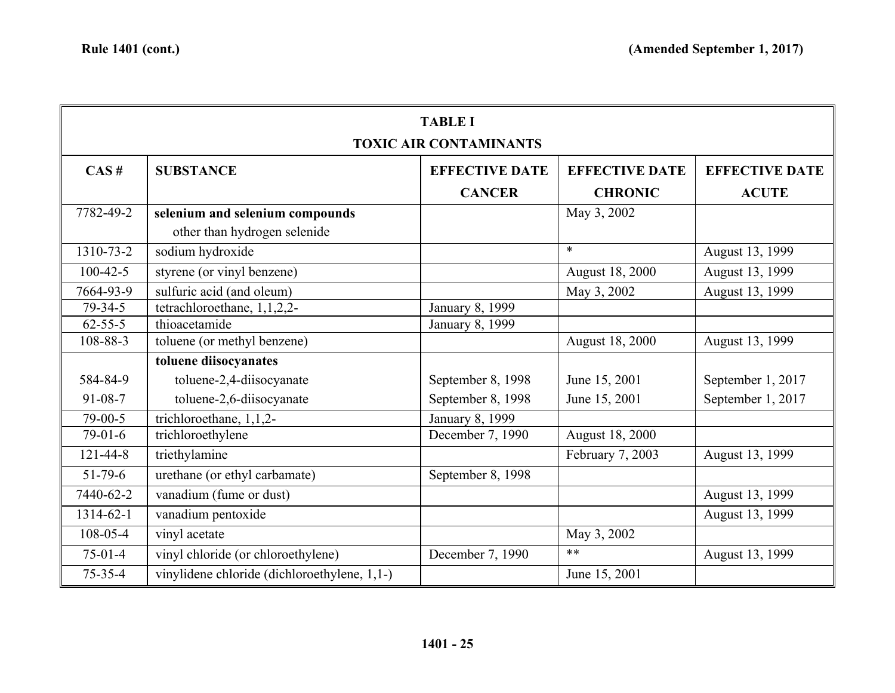| <b>TABLE I</b>                |                                              |                       |                       |                       |  |  |
|-------------------------------|----------------------------------------------|-----------------------|-----------------------|-----------------------|--|--|
| <b>TOXIC AIR CONTAMINANTS</b> |                                              |                       |                       |                       |  |  |
| CAS#                          | <b>SUBSTANCE</b>                             | <b>EFFECTIVE DATE</b> | <b>EFFECTIVE DATE</b> | <b>EFFECTIVE DATE</b> |  |  |
|                               |                                              | <b>CANCER</b>         | <b>CHRONIC</b>        | <b>ACUTE</b>          |  |  |
| 7782-49-2                     | selenium and selenium compounds              |                       | May 3, 2002           |                       |  |  |
|                               | other than hydrogen selenide                 |                       |                       |                       |  |  |
| 1310-73-2                     | sodium hydroxide                             |                       | $\ast$                | August 13, 1999       |  |  |
| $100 - 42 - 5$                | styrene (or vinyl benzene)                   |                       | August 18, 2000       | August 13, 1999       |  |  |
| 7664-93-9                     | sulfuric acid (and oleum)                    |                       | May 3, 2002           | August 13, 1999       |  |  |
| $79 - 34 - 5$                 | tetrachloroethane, 1,1,2,2-                  | January 8, 1999       |                       |                       |  |  |
| $62 - 55 - 5$                 | thioacetamide                                | January 8, 1999       |                       |                       |  |  |
| 108-88-3                      | toluene (or methyl benzene)                  |                       | August 18, 2000       | August 13, 1999       |  |  |
|                               | toluene diisocyanates                        |                       |                       |                       |  |  |
| 584-84-9                      | toluene-2,4-diisocyanate                     | September 8, 1998     | June 15, 2001         | September 1, 2017     |  |  |
| 91-08-7                       | toluene-2,6-diisocyanate                     | September 8, 1998     | June 15, 2001         | September 1, 2017     |  |  |
| 79-00-5                       | trichloroethane, 1,1,2-                      | January 8, 1999       |                       |                       |  |  |
| $79-01-6$                     | trichloroethylene                            | December 7, 1990      | August 18, 2000       |                       |  |  |
| $121 - 44 - 8$                | triethylamine                                |                       | February 7, 2003      | August 13, 1999       |  |  |
| $51 - 79 - 6$                 | urethane (or ethyl carbamate)                | September 8, 1998     |                       |                       |  |  |
| 7440-62-2                     | vanadium (fume or dust)                      |                       |                       | August 13, 1999       |  |  |
| 1314-62-1                     | vanadium pentoxide                           |                       |                       | August 13, 1999       |  |  |
| 108-05-4                      | vinyl acetate                                |                       | May 3, 2002           |                       |  |  |
| $75-01-4$                     | vinyl chloride (or chloroethylene)           | December 7, 1990      | $***$                 | August 13, 1999       |  |  |
| $75 - 35 - 4$                 | vinylidene chloride (dichloroethylene, 1,1-) |                       | June 15, 2001         |                       |  |  |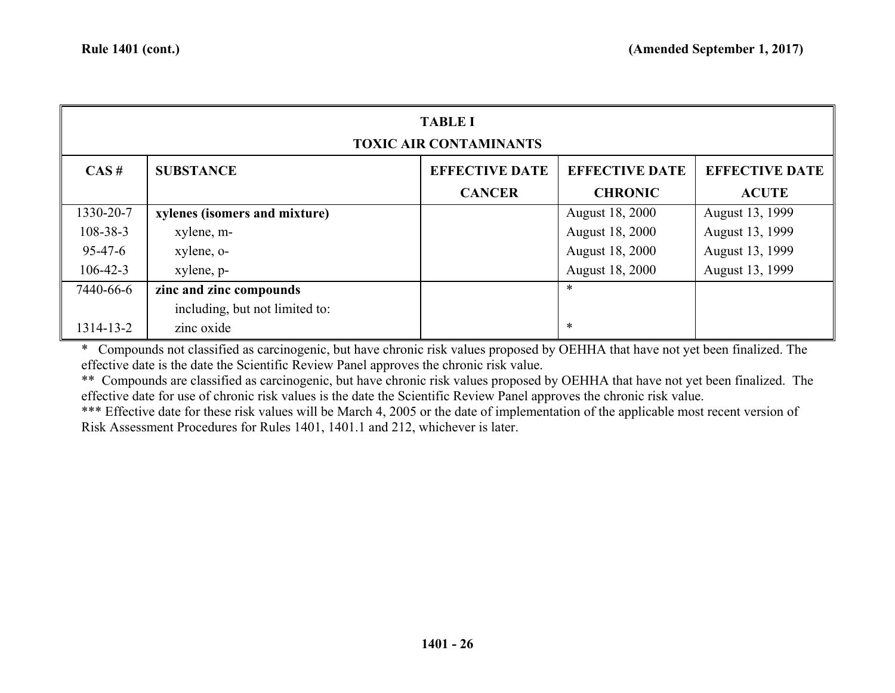| <b>TABLE I</b><br><b>TOXIC AIR CONTAMINANTS</b> |                                |                                        |                                         |                                       |  |
|-------------------------------------------------|--------------------------------|----------------------------------------|-----------------------------------------|---------------------------------------|--|
| CAS#                                            | <b>SUBSTANCE</b>               | <b>EFFECTIVE DATE</b><br><b>CANCER</b> | <b>EFFECTIVE DATE</b><br><b>CHRONIC</b> | <b>EFFECTIVE DATE</b><br><b>ACUTE</b> |  |
| 1330-20-7                                       | xylenes (isomers and mixture)  |                                        | August 18, 2000                         | August 13, 1999                       |  |
| $108 - 38 - 3$                                  | xylene, m-                     |                                        | <b>August 18, 2000</b>                  | August 13, 1999                       |  |
| $95 - 47 - 6$                                   | xylene, o-                     |                                        | <b>August 18, 2000</b>                  | August 13, 1999                       |  |
| $106 - 42 - 3$                                  | xylene, p-                     |                                        | <b>August 18, 2000</b>                  | August 13, 1999                       |  |
| 7440-66-6                                       | zinc and zinc compounds        |                                        | ∗                                       |                                       |  |
|                                                 | including, but not limited to: |                                        |                                         |                                       |  |
| 1314-13-2                                       | zinc oxide                     |                                        | $\ast$                                  |                                       |  |

\* Compounds not classified as carcinogenic, but have chronic risk values proposed by OEHHA that have not yet been finalized. The effective date is the date the Scientific Review Panel approves the chronic risk value.

\*\* Compounds are classified as carcinogenic, but have chronic risk values proposed by OEHHA that have not yet been finalized. The effective date for use of chronic risk values is the date the Scientific Review Panel approves the chronic risk value.

\*\*\* Effective date for these risk values will be March 4, 2005 or the date of implementation of the applicable most recent version of Risk Assessment Procedures for Rules 1401, 1401.1 and 212, whichever is later.